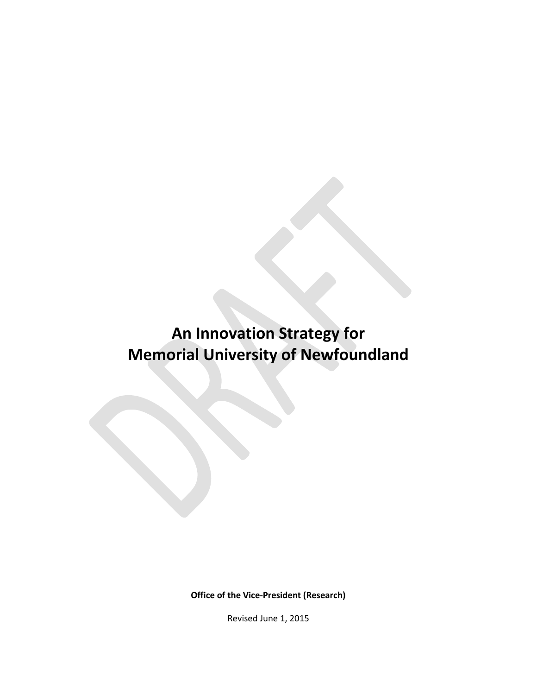# **An Innovation Strategy for Memorial University of Newfoundland**

**Office of the Vice-President (Research)**

Revised June 1, 2015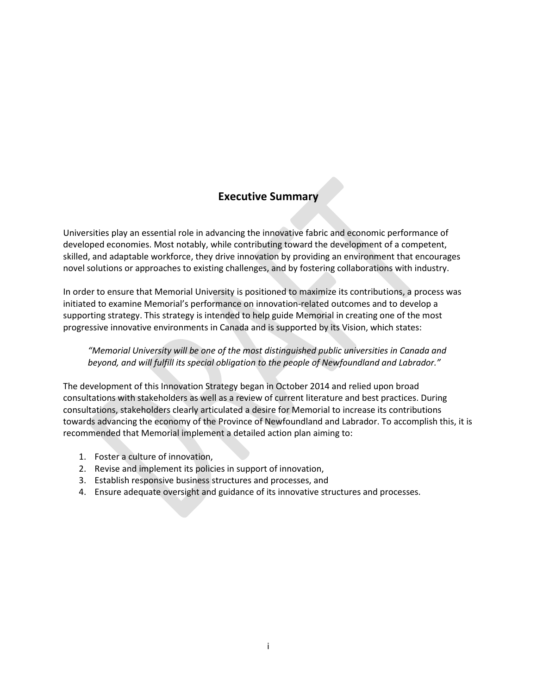### **Executive Summary**

Universities play an essential role in advancing the innovative fabric and economic performance of developed economies. Most notably, while contributing toward the development of a competent, skilled, and adaptable workforce, they drive innovation by providing an environment that encourages novel solutions or approaches to existing challenges, and by fostering collaborations with industry.

In order to ensure that Memorial University is positioned to maximize its contributions, a process was initiated to examine Memorial's performance on innovation-related outcomes and to develop a supporting strategy. This strategy is intended to help guide Memorial in creating one of the most progressive innovative environments in Canada and is supported by its Vision, which states:

#### *"Memorial University will be one of the most distinguished public universities in Canada and beyond, and will fulfill its special obligation to the people of Newfoundland and Labrador."*

The development of this Innovation Strategy began in October 2014 and relied upon broad consultations with stakeholders as well as a review of current literature and best practices. During consultations, stakeholders clearly articulated a desire for Memorial to increase its contributions towards advancing the economy of the Province of Newfoundland and Labrador. To accomplish this, it is recommended that Memorial implement a detailed action plan aiming to:

- 1. Foster a culture of innovation,
- 2. Revise and implement its policies in support of innovation,
- 3. Establish responsive business structures and processes, and
- 4. Ensure adequate oversight and guidance of its innovative structures and processes.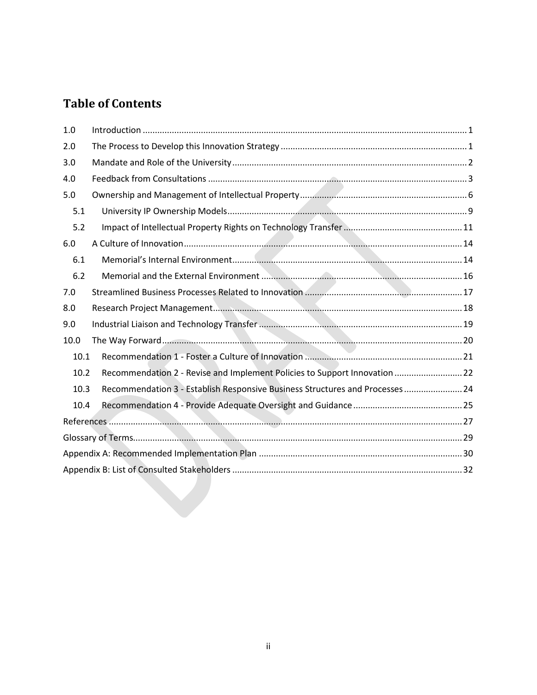# **Table of Contents**

| 1.0  |                                                                               |  |  |  |
|------|-------------------------------------------------------------------------------|--|--|--|
| 2.0  |                                                                               |  |  |  |
| 3.0  |                                                                               |  |  |  |
| 4.0  |                                                                               |  |  |  |
| 5.0  |                                                                               |  |  |  |
| 5.1  |                                                                               |  |  |  |
| 5.2  |                                                                               |  |  |  |
| 6.0  |                                                                               |  |  |  |
| 6.1  |                                                                               |  |  |  |
| 6.2  |                                                                               |  |  |  |
| 7.0  |                                                                               |  |  |  |
| 8.0  |                                                                               |  |  |  |
| 9.0  |                                                                               |  |  |  |
| 10.0 |                                                                               |  |  |  |
|      | 10.1                                                                          |  |  |  |
| 10.2 | Recommendation 2 - Revise and Implement Policies to Support Innovation  22    |  |  |  |
| 10.3 | Recommendation 3 - Establish Responsive Business Structures and Processes  24 |  |  |  |
| 10.4 |                                                                               |  |  |  |
|      |                                                                               |  |  |  |
|      |                                                                               |  |  |  |
|      |                                                                               |  |  |  |
|      |                                                                               |  |  |  |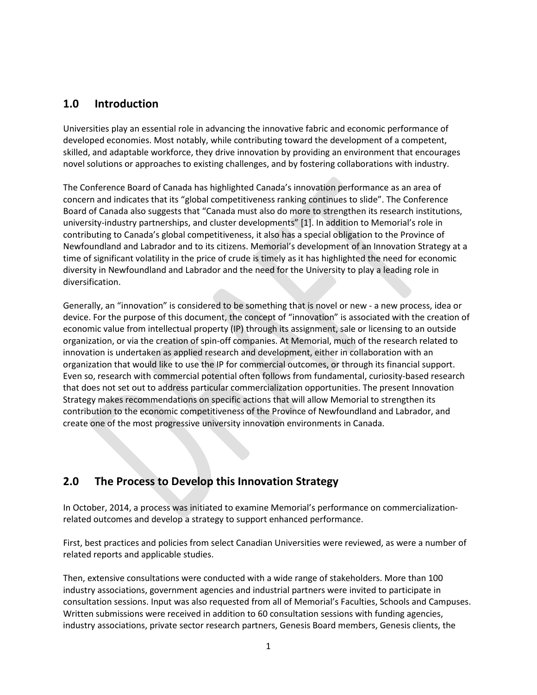### <span id="page-3-0"></span>**1.0 Introduction**

Universities play an essential role in advancing the innovative fabric and economic performance of developed economies. Most notably, while contributing toward the development of a competent, skilled, and adaptable workforce, they drive innovation by providing an environment that encourages novel solutions or approaches to existing challenges, and by fostering collaborations with industry.

The Conference Board of Canada has highlighted Canada's innovation performance as an area of concern and indicates that its "global competitiveness ranking continues to slide". The Conference Board of Canada also suggests that "Canada must also do more to strengthen its research institutions, university-industry partnerships, and cluster developments" [1]. In addition to Memorial's role in contributing to Canada's global competitiveness, it also has a special obligation to the Province of Newfoundland and Labrador and to its citizens. Memorial's development of an Innovation Strategy at a time of significant volatility in the price of crude is timely as it has highlighted the need for economic diversity in Newfoundland and Labrador and the need for the University to play a leading role in diversification.

Generally, an "innovation" is considered to be something that is novel or new - a new process, idea or device. For the purpose of this document, the concept of "innovation" is associated with the creation of economic value from intellectual property (IP) through its assignment, sale or licensing to an outside organization, or via the creation of spin-off companies. At Memorial, much of the research related to innovation is undertaken as applied research and development, either in collaboration with an organization that would like to use the IP for commercial outcomes, or through its financial support. Even so, research with commercial potential often follows from fundamental, curiosity-based research that does not set out to address particular commercialization opportunities. The present Innovation Strategy makes recommendations on specific actions that will allow Memorial to strengthen its contribution to the economic competitiveness of the Province of Newfoundland and Labrador, and create one of the most progressive university innovation environments in Canada.

### <span id="page-3-1"></span>**2.0 The Process to Develop this Innovation Strategy**

In October, 2014, a process was initiated to examine Memorial's performance on commercializationrelated outcomes and develop a strategy to support enhanced performance.

First, best practices and policies from select Canadian Universities were reviewed, as were a number of related reports and applicable studies.

Then, extensive consultations were conducted with a wide range of stakeholders. More than 100 industry associations, government agencies and industrial partners were invited to participate in consultation sessions. Input was also requested from all of Memorial's Faculties, Schools and Campuses. Written submissions were received in addition to 60 consultation sessions with funding agencies, industry associations, private sector research partners, Genesis Board members, Genesis clients, the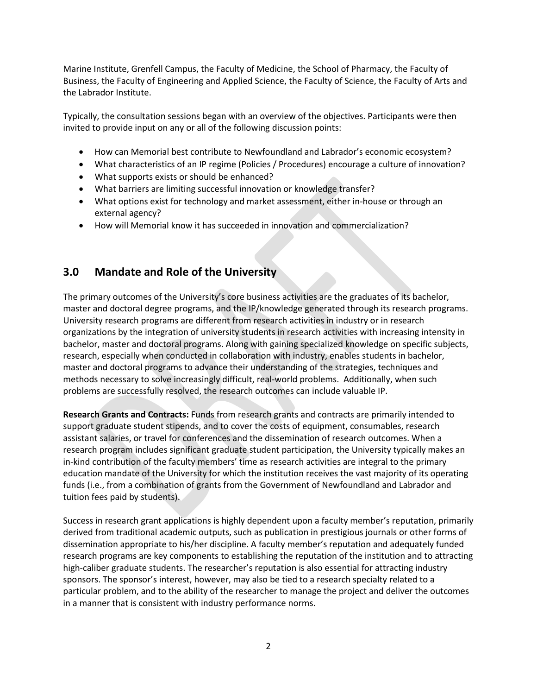Marine Institute, Grenfell Campus, the Faculty of Medicine, the School of Pharmacy, the Faculty of Business, the Faculty of Engineering and Applied Science, the Faculty of Science, the Faculty of Arts and the Labrador Institute.

Typically, the consultation sessions began with an overview of the objectives. Participants were then invited to provide input on any or all of the following discussion points:

- How can Memorial best contribute to Newfoundland and Labrador's economic ecosystem?
- What characteristics of an IP regime (Policies / Procedures) encourage a culture of innovation?
- What supports exists or should be enhanced?
- What barriers are limiting successful innovation or knowledge transfer?
- What options exist for technology and market assessment, either in-house or through an external agency?
- How will Memorial know it has succeeded in innovation and commercialization?

### <span id="page-4-0"></span>**3.0 Mandate and Role of the University**

The primary outcomes of the University's core business activities are the graduates of its bachelor, master and doctoral degree programs, and the IP/knowledge generated through its research programs. University research programs are different from research activities in industry or in research organizations by the integration of university students in research activities with increasing intensity in bachelor, master and doctoral programs. Along with gaining specialized knowledge on specific subjects, research, especially when conducted in collaboration with industry, enables students in bachelor, master and doctoral programs to advance their understanding of the strategies, techniques and methods necessary to solve increasingly difficult, real-world problems. Additionally, when such problems are successfully resolved, the research outcomes can include valuable IP.

**Research Grants and Contracts:** Funds from research grants and contracts are primarily intended to support graduate student stipends, and to cover the costs of equipment, consumables, research assistant salaries, or travel for conferences and the dissemination of research outcomes. When a research program includes significant graduate student participation, the University typically makes an in-kind contribution of the faculty members' time as research activities are integral to the primary education mandate of the University for which the institution receives the vast majority of its operating funds (i.e., from a combination of grants from the Government of Newfoundland and Labrador and tuition fees paid by students).

Success in research grant applications is highly dependent upon a faculty member's reputation, primarily derived from traditional academic outputs, such as publication in prestigious journals or other forms of dissemination appropriate to his/her discipline. A faculty member's reputation and adequately funded research programs are key components to establishing the reputation of the institution and to attracting high-caliber graduate students. The researcher's reputation is also essential for attracting industry sponsors. The sponsor's interest, however, may also be tied to a research specialty related to a particular problem, and to the ability of the researcher to manage the project and deliver the outcomes in a manner that is consistent with industry performance norms.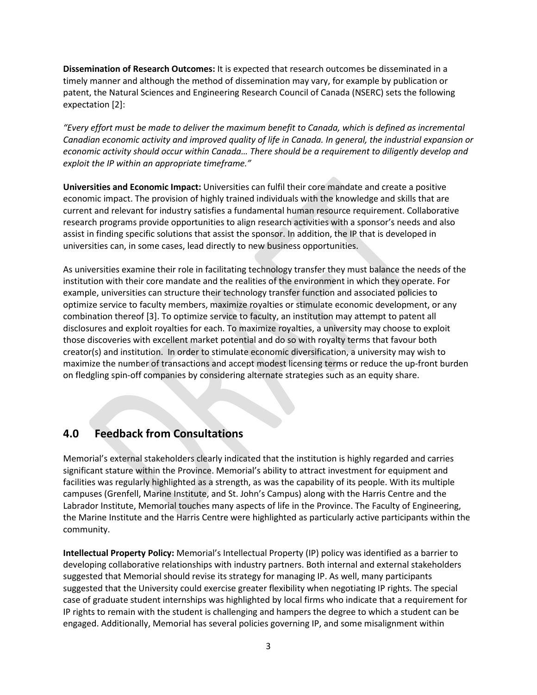**Dissemination of Research Outcomes:** It is expected that research outcomes be disseminated in a timely manner and although the method of dissemination may vary, for example by publication or patent, the Natural Sciences and Engineering Research Council of Canada (NSERC) sets the following expectation [2]:

*"Every effort must be made to deliver the maximum benefit to Canada, which is defined as incremental Canadian economic activity and improved quality of life in Canada. In general, the industrial expansion or economic activity should occur within Canada… There should be a requirement to diligently develop and exploit the IP within an appropriate timeframe."*

**Universities and Economic Impact:** Universities can fulfil their core mandate and create a positive economic impact. The provision of highly trained individuals with the knowledge and skills that are current and relevant for industry satisfies a fundamental human resource requirement. Collaborative research programs provide opportunities to align research activities with a sponsor's needs and also assist in finding specific solutions that assist the sponsor. In addition, the IP that is developed in universities can, in some cases, lead directly to new business opportunities.

As universities examine their role in facilitating technology transfer they must balance the needs of the institution with their core mandate and the realities of the environment in which they operate. For example, universities can structure their technology transfer function and associated policies to optimize service to faculty members, maximize royalties or stimulate economic development, or any combination thereof [3]. To optimize service to faculty, an institution may attempt to patent all disclosures and exploit royalties for each. To maximize royalties, a university may choose to exploit those discoveries with excellent market potential and do so with royalty terms that favour both creator(s) and institution. In order to stimulate economic diversification, a university may wish to maximize the number of transactions and accept modest licensing terms or reduce the up-front burden on fledgling spin-off companies by considering alternate strategies such as an equity share.

### <span id="page-5-0"></span>**4.0 Feedback from Consultations**

Memorial's external stakeholders clearly indicated that the institution is highly regarded and carries significant stature within the Province. Memorial's ability to attract investment for equipment and facilities was regularly highlighted as a strength, as was the capability of its people. With its multiple campuses (Grenfell, Marine Institute, and St. John's Campus) along with the Harris Centre and the Labrador Institute, Memorial touches many aspects of life in the Province. The Faculty of Engineering, the Marine Institute and the Harris Centre were highlighted as particularly active participants within the community.

**Intellectual Property Policy:** Memorial's Intellectual Property (IP) policy was identified as a barrier to developing collaborative relationships with industry partners. Both internal and external stakeholders suggested that Memorial should revise its strategy for managing IP. As well, many participants suggested that the University could exercise greater flexibility when negotiating IP rights. The special case of graduate student internships was highlighted by local firms who indicate that a requirement for IP rights to remain with the student is challenging and hampers the degree to which a student can be engaged. Additionally, Memorial has several policies governing IP, and some misalignment within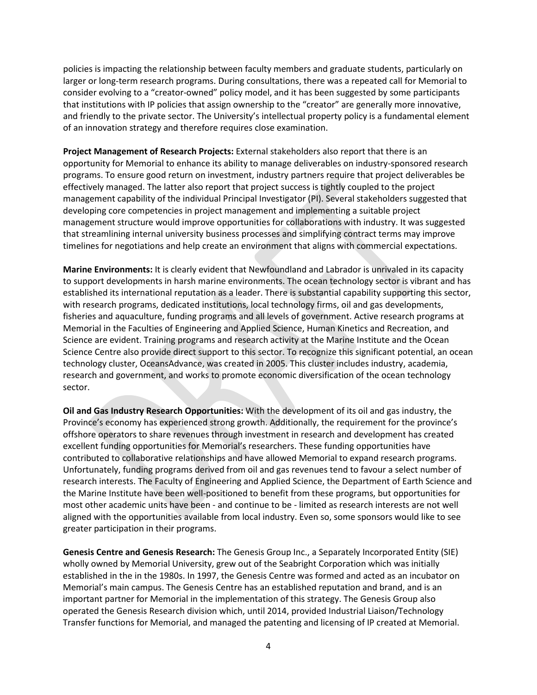policies is impacting the relationship between faculty members and graduate students, particularly on larger or long-term research programs. During consultations, there was a repeated call for Memorial to consider evolving to a "creator-owned" policy model, and it has been suggested by some participants that institutions with IP policies that assign ownership to the "creator" are generally more innovative, and friendly to the private sector. The University's intellectual property policy is a fundamental element of an innovation strategy and therefore requires close examination.

**Project Management of Research Projects:** External stakeholders also report that there is an opportunity for Memorial to enhance its ability to manage deliverables on industry-sponsored research programs. To ensure good return on investment, industry partners require that project deliverables be effectively managed. The latter also report that project success is tightly coupled to the project management capability of the individual Principal Investigator (PI). Several stakeholders suggested that developing core competencies in project management and implementing a suitable project management structure would improve opportunities for collaborations with industry. It was suggested that streamlining internal university business processes and simplifying contract terms may improve timelines for negotiations and help create an environment that aligns with commercial expectations.

**Marine Environments:** It is clearly evident that Newfoundland and Labrador is unrivaled in its capacity to support developments in harsh marine environments. The ocean technology sector is vibrant and has established its international reputation as a leader. There is substantial capability supporting this sector, with research programs, dedicated institutions, local technology firms, oil and gas developments, fisheries and aquaculture, funding programs and all levels of government. Active research programs at Memorial in the Faculties of Engineering and Applied Science, Human Kinetics and Recreation, and Science are evident. Training programs and research activity at the Marine Institute and the Ocean Science Centre also provide direct support to this sector. To recognize this significant potential, an ocean technology cluster, OceansAdvance, was created in 2005. This cluster includes industry, academia, research and government, and works to promote economic diversification of the ocean technology sector.

**Oil and Gas Industry Research Opportunities:** With the development of its oil and gas industry, the Province's economy has experienced strong growth. Additionally, the requirement for the province's offshore operators to share revenues through investment in research and development has created excellent funding opportunities for Memorial's researchers. These funding opportunities have contributed to collaborative relationships and have allowed Memorial to expand research programs. Unfortunately, funding programs derived from oil and gas revenues tend to favour a select number of research interests. The Faculty of Engineering and Applied Science, the Department of Earth Science and the Marine Institute have been well-positioned to benefit from these programs, but opportunities for most other academic units have been - and continue to be - limited as research interests are not well aligned with the opportunities available from local industry. Even so, some sponsors would like to see greater participation in their programs.

**Genesis Centre and Genesis Research:** The Genesis Group Inc., a Separately Incorporated Entity (SIE) wholly owned by Memorial University, grew out of the Seabright Corporation which was initially established in the in the 1980s. In 1997, the Genesis Centre was formed and acted as an incubator on Memorial's main campus. The Genesis Centre has an established reputation and brand, and is an important partner for Memorial in the implementation of this strategy. The Genesis Group also operated the Genesis Research division which, until 2014, provided Industrial Liaison/Technology Transfer functions for Memorial, and managed the patenting and licensing of IP created at Memorial.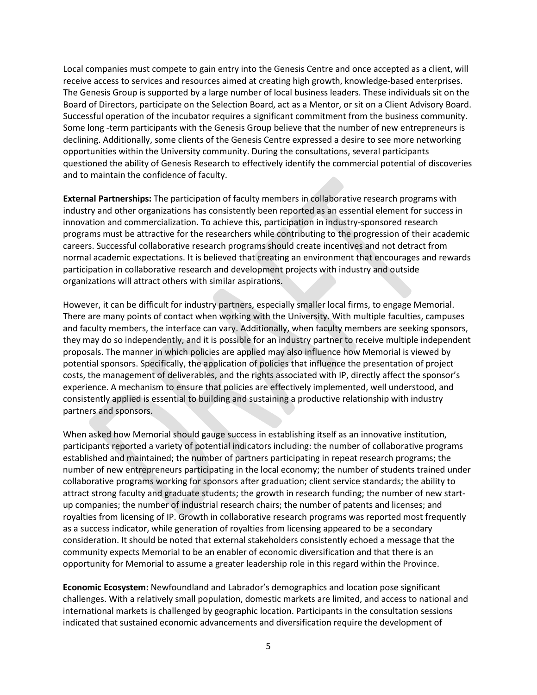Local companies must compete to gain entry into the Genesis Centre and once accepted as a client, will receive access to services and resources aimed at creating high growth, knowledge-based enterprises. The Genesis Group is supported by a large number of local business leaders. These individuals sit on the Board of Directors, participate on the Selection Board, act as a Mentor, or sit on a Client Advisory Board. Successful operation of the incubator requires a significant commitment from the business community. Some long -term participants with the Genesis Group believe that the number of new entrepreneurs is declining. Additionally, some clients of the Genesis Centre expressed a desire to see more networking opportunities within the University community. During the consultations, several participants questioned the ability of Genesis Research to effectively identify the commercial potential of discoveries and to maintain the confidence of faculty.

**External Partnerships:** The participation of faculty members in collaborative research programs with industry and other organizations has consistently been reported as an essential element for success in innovation and commercialization. To achieve this, participation in industry-sponsored research programs must be attractive for the researchers while contributing to the progression of their academic careers. Successful collaborative research programs should create incentives and not detract from normal academic expectations. It is believed that creating an environment that encourages and rewards participation in collaborative research and development projects with industry and outside organizations will attract others with similar aspirations.

However, it can be difficult for industry partners, especially smaller local firms, to engage Memorial. There are many points of contact when working with the University. With multiple faculties, campuses and faculty members, the interface can vary. Additionally, when faculty members are seeking sponsors, they may do so independently, and it is possible for an industry partner to receive multiple independent proposals. The manner in which policies are applied may also influence how Memorial is viewed by potential sponsors. Specifically, the application of policies that influence the presentation of project costs, the management of deliverables, and the rights associated with IP, directly affect the sponsor's experience. A mechanism to ensure that policies are effectively implemented, well understood, and consistently applied is essential to building and sustaining a productive relationship with industry partners and sponsors.

When asked how Memorial should gauge success in establishing itself as an innovative institution, participants reported a variety of potential indicators including: the number of collaborative programs established and maintained; the number of partners participating in repeat research programs; the number of new entrepreneurs participating in the local economy; the number of students trained under collaborative programs working for sponsors after graduation; client service standards; the ability to attract strong faculty and graduate students; the growth in research funding; the number of new startup companies; the number of industrial research chairs; the number of patents and licenses; and royalties from licensing of IP. Growth in collaborative research programs was reported most frequently as a success indicator, while generation of royalties from licensing appeared to be a secondary consideration. It should be noted that external stakeholders consistently echoed a message that the community expects Memorial to be an enabler of economic diversification and that there is an opportunity for Memorial to assume a greater leadership role in this regard within the Province.

**Economic Ecosystem:** Newfoundland and Labrador's demographics and location pose significant challenges. With a relatively small population, domestic markets are limited, and access to national and international markets is challenged by geographic location. Participants in the consultation sessions indicated that sustained economic advancements and diversification require the development of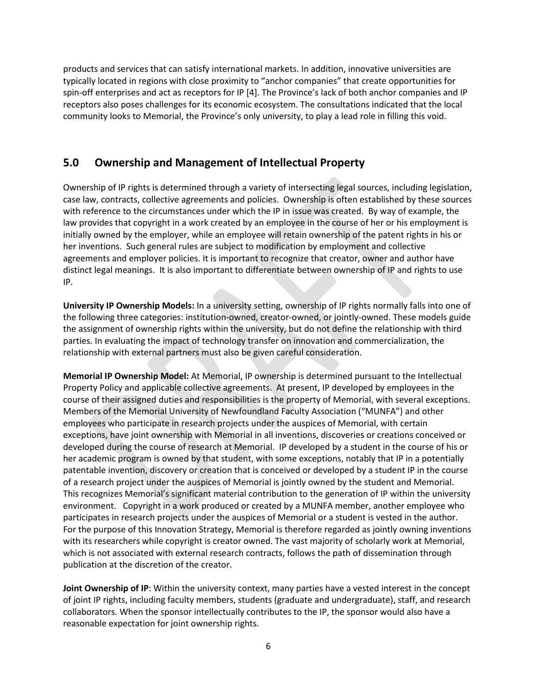products and services that can satisfy international markets. In addition, innovative universities are typically located in regions with close proximity to "anchor companies" that create opportunities for spin-off enterprises and act as receptors for IP [4]. The Province's lack of both anchor companies and IP receptors also poses challenges for its economic ecosystem. The consultations indicated that the local community looks to Memorial, the Province's only university, to play a lead role in filling this void.

### <span id="page-8-0"></span>**5.0 Ownership and Management of Intellectual Property**

Ownership of IP rights is determined through a variety of intersecting legal sources, including legislation, case law, contracts, collective agreements and policies. Ownership is often established by these sources with reference to the circumstances under which the IP in issue was created. By way of example, the law provides that copyright in a work created by an employee in the course of her or his employment is initially owned by the employer, while an employee will retain ownership of the patent rights in his or her inventions. Such general rules are subject to modification by employment and collective agreements and employer policies. It is important to recognize that creator, owner and author have distinct legal meanings. It is also important to differentiate between ownership of IP and rights to use IP.

**University IP Ownership Models:** In a university setting, ownership of IP rights normally falls into one of the following three categories: institution-owned, creator-owned, or jointly-owned. These models guide the assignment of ownership rights within the university, but do not define the relationship with third parties. In evaluating the impact of technology transfer on innovation and commercialization, the relationship with external partners must also be given careful consideration.

**Memorial IP Ownership Model:** At Memorial, IP ownership is determined pursuant to the Intellectual Property Policy and applicable collective agreements. At present, IP developed by employees in the course of their assigned duties and responsibilities is the property of Memorial, with several exceptions. Members of the Memorial University of Newfoundland Faculty Association ("MUNFA") and other employees who participate in research projects under the auspices of Memorial, with certain exceptions, have joint ownership with Memorial in all inventions, discoveries or creations conceived or developed during the course of research at Memorial. IP developed by a student in the course of his or her academic program is owned by that student, with some exceptions, notably that IP in a potentially patentable invention, discovery or creation that is conceived or developed by a student IP in the course of a research project under the auspices of Memorial is jointly owned by the student and Memorial. This recognizes Memorial's significant material contribution to the generation of IP within the university environment. Copyright in a work produced or created by a MUNFA member, another employee who participates in research projects under the auspices of Memorial or a student is vested in the author. For the purpose of this Innovation Strategy, Memorial is therefore regarded as jointly owning inventions with its researchers while copyright is creator owned. The vast majority of scholarly work at Memorial, which is not associated with external research contracts, follows the path of dissemination through publication at the discretion of the creator.

**Joint Ownership of IP**: Within the university context, many parties have a vested interest in the concept of joint IP rights, including faculty members, students (graduate and undergraduate), staff, and research collaborators. When the sponsor intellectually contributes to the IP, the sponsor would also have a reasonable expectation for joint ownership rights.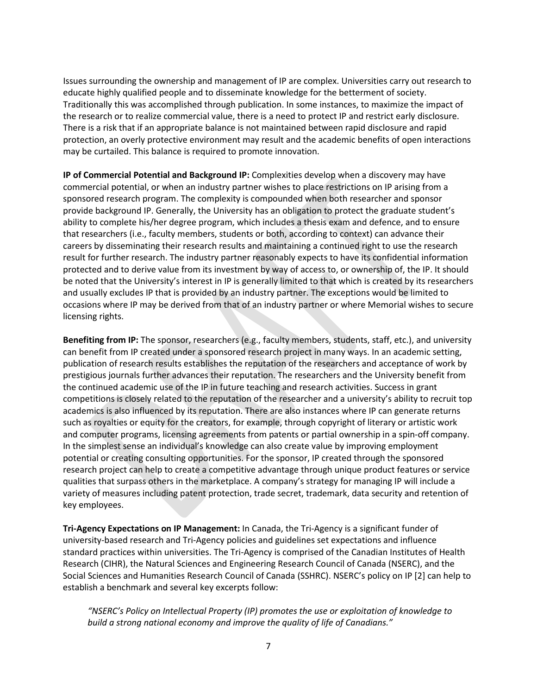Issues surrounding the ownership and management of IP are complex. Universities carry out research to educate highly qualified people and to disseminate knowledge for the betterment of society. Traditionally this was accomplished through publication. In some instances, to maximize the impact of the research or to realize commercial value, there is a need to protect IP and restrict early disclosure. There is a risk that if an appropriate balance is not maintained between rapid disclosure and rapid protection, an overly protective environment may result and the academic benefits of open interactions may be curtailed. This balance is required to promote innovation.

**IP of Commercial Potential and Background IP:** Complexities develop when a discovery may have commercial potential, or when an industry partner wishes to place restrictions on IP arising from a sponsored research program. The complexity is compounded when both researcher and sponsor provide background IP. Generally, the University has an obligation to protect the graduate student's ability to complete his/her degree program, which includes a thesis exam and defence, and to ensure that researchers (i.e., faculty members, students or both, according to context) can advance their careers by disseminating their research results and maintaining a continued right to use the research result for further research. The industry partner reasonably expects to have its confidential information protected and to derive value from its investment by way of access to, or ownership of, the IP. It should be noted that the University's interest in IP is generally limited to that which is created by its researchers and usually excludes IP that is provided by an industry partner. The exceptions would be limited to occasions where IP may be derived from that of an industry partner or where Memorial wishes to secure licensing rights.

**Benefiting from IP:** The sponsor, researchers (e.g., faculty members, students, staff, etc.), and university can benefit from IP created under a sponsored research project in many ways. In an academic setting, publication of research results establishes the reputation of the researchers and acceptance of work by prestigious journals further advances their reputation. The researchers and the University benefit from the continued academic use of the IP in future teaching and research activities. Success in grant competitions is closely related to the reputation of the researcher and a university's ability to recruit top academics is also influenced by its reputation. There are also instances where IP can generate returns such as royalties or equity for the creators, for example, through copyright of literary or artistic work and computer programs, licensing agreements from patents or partial ownership in a spin-off company. In the simplest sense an individual's knowledge can also create value by improving employment potential or creating consulting opportunities. For the sponsor, IP created through the sponsored research project can help to create a competitive advantage through unique product features or service qualities that surpass others in the marketplace. A company's strategy for managing IP will include a variety of measures including patent protection, trade secret, trademark, data security and retention of key employees.

**Tri-Agency Expectations on IP Management:** In Canada, the Tri-Agency is a significant funder of university-based research and Tri-Agency policies and guidelines set expectations and influence standard practices within universities. The Tri-Agency is comprised of the Canadian Institutes of Health Research (CIHR), the Natural Sciences and Engineering Research Council of Canada (NSERC), and the Social Sciences and Humanities Research Council of Canada (SSHRC). NSERC's policy on IP [2] can help to establish a benchmark and several key excerpts follow:

*"NSERC's Policy on Intellectual Property (IP) promotes the use or exploitation of knowledge to build a strong national economy and improve the quality of life of Canadians."*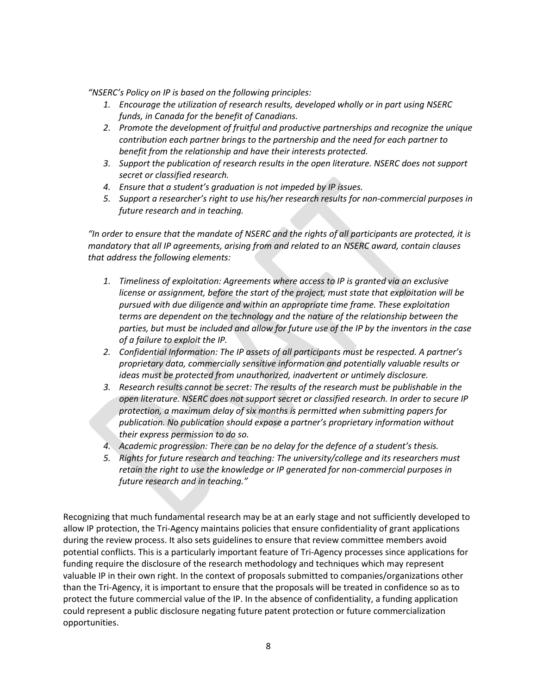*"NSERC's Policy on IP is based on the following principles:*

- *1. Encourage the utilization of research results, developed wholly or in part using NSERC funds, in Canada for the benefit of Canadians.*
- *2. Promote the development of fruitful and productive partnerships and recognize the unique contribution each partner brings to the partnership and the need for each partner to benefit from the relationship and have their interests protected.*
- *3. Support the publication of research results in the open literature. NSERC does not support secret or classified research.*
- *4. Ensure that a student's graduation is not impeded by IP issues.*
- *5. Support a researcher's right to use his/her research results for non-commercial purposes in future research and in teaching.*

*"In order to ensure that the mandate of NSERC and the rights of all participants are protected, it is mandatory that all IP agreements, arising from and related to an NSERC award, contain clauses that address the following elements:*

- *1. Timeliness of exploitation: Agreements where access to IP is granted via an exclusive license or assignment, before the start of the project, must state that exploitation will be pursued with due diligence and within an appropriate time frame. These exploitation terms are dependent on the technology and the nature of the relationship between the parties, but must be included and allow for future use of the IP by the inventors in the case of a failure to exploit the IP.*
- *2. Confidential Information: The IP assets of all participants must be respected. A partner's proprietary data, commercially sensitive information and potentially valuable results or ideas must be protected from unauthorized, inadvertent or untimely disclosure.*
- *3. Research results cannot be secret: The results of the research must be publishable in the open literature. NSERC does not support secret or classified research. In order to secure IP protection, a maximum delay of six months is permitted when submitting papers for publication. No publication should expose a partner's proprietary information without their express permission to do so.*
- *4. Academic progression: There can be no delay for the defence of a student's thesis.*
- *5. Rights for future research and teaching: The university/college and its researchers must retain the right to use the knowledge or IP generated for non-commercial purposes in future research and in teaching."*

Recognizing that much fundamental research may be at an early stage and not sufficiently developed to allow IP protection, the Tri-Agency maintains policies that ensure confidentiality of grant applications during the review process. It also sets guidelines to ensure that review committee members avoid potential conflicts. This is a particularly important feature of Tri-Agency processes since applications for funding require the disclosure of the research methodology and techniques which may represent valuable IP in their own right. In the context of proposals submitted to companies/organizations other than the Tri-Agency, it is important to ensure that the proposals will be treated in confidence so as to protect the future commercial value of the IP. In the absence of confidentiality, a funding application could represent a public disclosure negating future patent protection or future commercialization opportunities.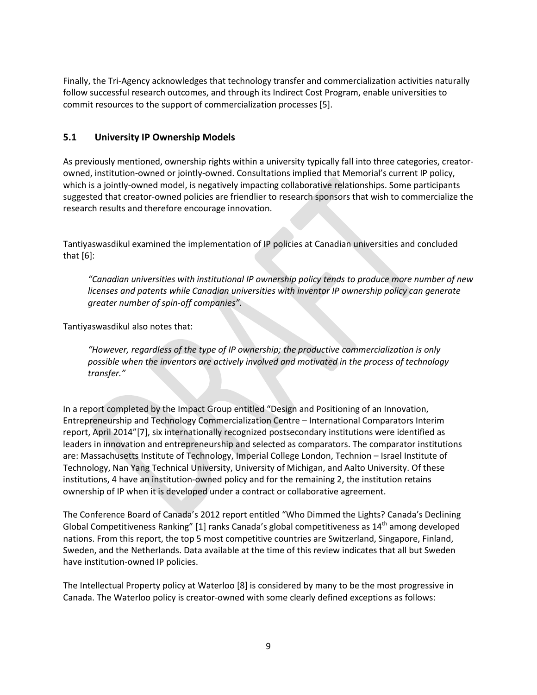Finally, the Tri-Agency acknowledges that technology transfer and commercialization activities naturally follow successful research outcomes, and through its Indirect Cost Program, enable universities to commit resources to the support of commercialization processes [5].

#### <span id="page-11-0"></span>**5.1 University IP Ownership Models**

As previously mentioned, ownership rights within a university typically fall into three categories, creatorowned, institution-owned or jointly-owned. Consultations implied that Memorial's current IP policy, which is a jointly-owned model, is negatively impacting collaborative relationships. Some participants suggested that creator-owned policies are friendlier to research sponsors that wish to commercialize the research results and therefore encourage innovation.

Tantiyaswasdikul examined the implementation of IP policies at Canadian universities and concluded that [6]:

*"Canadian universities with institutional IP ownership policy tends to produce more number of new licenses and patents while Canadian universities with inventor IP ownership policy can generate greater number of spin-off companies".*

Tantiyaswasdikul also notes that:

*"However, regardless of the type of IP ownership; the productive commercialization is only possible when the inventors are actively involved and motivated in the process of technology transfer."*

In a report completed by the Impact Group entitled "Design and Positioning of an Innovation, Entrepreneurship and Technology Commercialization Centre – International Comparators Interim report, April 2014"[7], six internationally recognized postsecondary institutions were identified as leaders in innovation and entrepreneurship and selected as comparators. The comparator institutions are: Massachusetts Institute of Technology, Imperial College London, Technion – Israel Institute of Technology, Nan Yang Technical University, University of Michigan, and Aalto University. Of these institutions, 4 have an institution-owned policy and for the remaining 2, the institution retains ownership of IP when it is developed under a contract or collaborative agreement.

The Conference Board of Canada's 2012 report entitled "Who Dimmed the Lights? Canada's Declining Global Competitiveness Ranking" [1] ranks Canada's global competitiveness as  $14<sup>th</sup>$  among developed nations. From this report, the top 5 most competitive countries are Switzerland, Singapore, Finland, Sweden, and the Netherlands. Data available at the time of this review indicates that all but Sweden have institution-owned IP policies.

The Intellectual Property policy at Waterloo [8] is considered by many to be the most progressive in Canada. The Waterloo policy is creator-owned with some clearly defined exceptions as follows: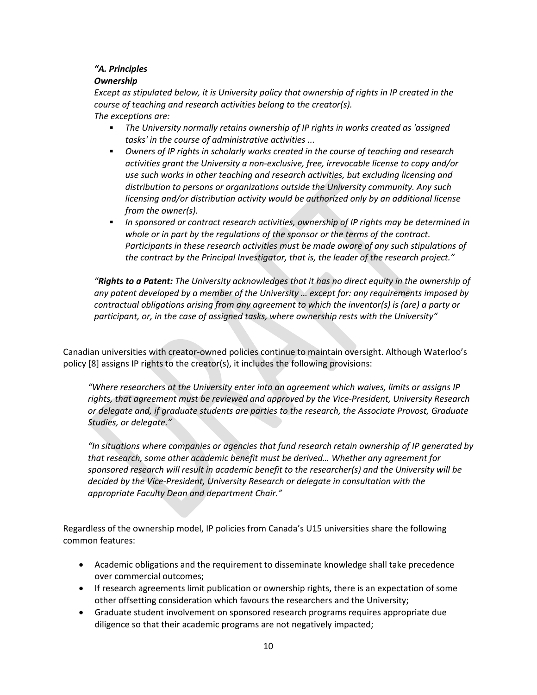#### *"A. Principles*

#### *Ownership*

*Except as stipulated below, it is University policy that ownership of rights in IP created in the course of teaching and research activities belong to the creator(s). The exceptions are:*

- *The University normally retains ownership of IP rights in works created as 'assigned tasks' in the course of administrative activities ...*
- *Owners of IP rights in scholarly works created in the course of teaching and research activities grant the University a non-exclusive, free, irrevocable license to copy and/or use such works in other teaching and research activities, but excluding licensing and distribution to persons or organizations outside the University community. Any such licensing and/or distribution activity would be authorized only by an additional license from the owner(s).*
- *In sponsored or contract research activities, ownership of IP rights may be determined in whole or in part by the regulations of the sponsor or the terms of the contract. Participants in these research activities must be made aware of any such stipulations of the contract by the Principal Investigator, that is, the leader of the research project."*

*"Rights to a Patent: The University acknowledges that it has no direct equity in the ownership of any patent developed by a member of the University … except for: any requirements imposed by contractual obligations arising from any agreement to which the inventor(s) is (are) a party or participant, or, in the case of assigned tasks, where ownership rests with the University"*

Canadian universities with creator-owned policies continue to maintain oversight. Although Waterloo's policy [8] assigns IP rights to the creator(s), it includes the following provisions:

*"Where researchers at the University enter into an agreement which waives, limits or assigns IP rights, that agreement must be reviewed and approved by the Vice-President, University Research or delegate and, if graduate students are parties to the research, the Associate Provost, Graduate Studies, or delegate."*

*"In situations where companies or agencies that fund research retain ownership of IP generated by that research, some other academic benefit must be derived… Whether any agreement for sponsored research will result in academic benefit to the researcher(s) and the University will be decided by the Vice-President, University Research or delegate in consultation with the appropriate Faculty Dean and department Chair."*

Regardless of the ownership model, IP policies from Canada's U15 universities share the following common features:

- Academic obligations and the requirement to disseminate knowledge shall take precedence over commercial outcomes;
- If research agreements limit publication or ownership rights, there is an expectation of some other offsetting consideration which favours the researchers and the University;
- Graduate student involvement on sponsored research programs requires appropriate due diligence so that their academic programs are not negatively impacted;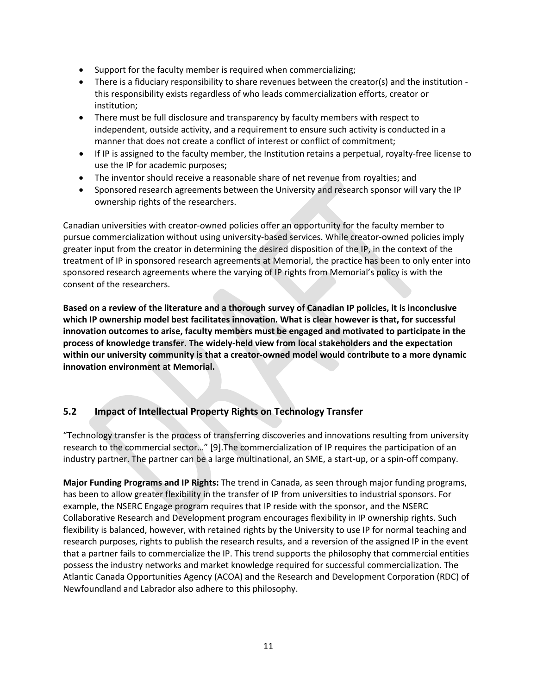- Support for the faculty member is required when commercializing;
- There is a fiduciary responsibility to share revenues between the creator(s) and the institution this responsibility exists regardless of who leads commercialization efforts, creator or institution;
- There must be full disclosure and transparency by faculty members with respect to independent, outside activity, and a requirement to ensure such activity is conducted in a manner that does not create a conflict of interest or conflict of commitment;
- If IP is assigned to the faculty member, the Institution retains a perpetual, royalty-free license to use the IP for academic purposes;
- The inventor should receive a reasonable share of net revenue from royalties; and
- Sponsored research agreements between the University and research sponsor will vary the IP ownership rights of the researchers.

Canadian universities with creator-owned policies offer an opportunity for the faculty member to pursue commercialization without using university-based services. While creator-owned policies imply greater input from the creator in determining the desired disposition of the IP, in the context of the treatment of IP in sponsored research agreements at Memorial, the practice has been to only enter into sponsored research agreements where the varying of IP rights from Memorial's policy is with the consent of the researchers.

**Based on a review of the literature and a thorough survey of Canadian IP policies, it is inconclusive which IP ownership model best facilitates innovation. What is clear however is that, for successful innovation outcomes to arise, faculty members must be engaged and motivated to participate in the process of knowledge transfer. The widely-held view from local stakeholders and the expectation within our university community is that a creator-owned model would contribute to a more dynamic innovation environment at Memorial.** 

### <span id="page-13-0"></span>**5.2 Impact of Intellectual Property Rights on Technology Transfer**

"Technology transfer is the process of transferring discoveries and innovations resulting from university research to the commercial sector…" [9].The commercialization of IP requires the participation of an industry partner. The partner can be a large multinational, an SME, a start-up, or a spin-off company.

**Major Funding Programs and IP Rights:** The trend in Canada, as seen through major funding programs, has been to allow greater flexibility in the transfer of IP from universities to industrial sponsors. For example, the NSERC Engage program requires that IP reside with the sponsor, and the NSERC Collaborative Research and Development program encourages flexibility in IP ownership rights. Such flexibility is balanced, however, with retained rights by the University to use IP for normal teaching and research purposes, rights to publish the research results, and a reversion of the assigned IP in the event that a partner fails to commercialize the IP. This trend supports the philosophy that commercial entities possess the industry networks and market knowledge required for successful commercialization. The Atlantic Canada Opportunities Agency (ACOA) and the Research and Development Corporation (RDC) of Newfoundland and Labrador also adhere to this philosophy.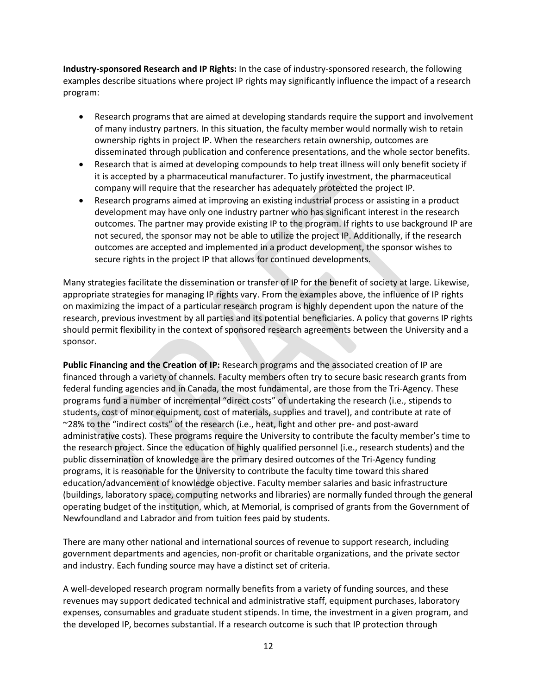**Industry-sponsored Research and IP Rights:** In the case of industry-sponsored research, the following examples describe situations where project IP rights may significantly influence the impact of a research program:

- Research programs that are aimed at developing standards require the support and involvement of many industry partners. In this situation, the faculty member would normally wish to retain ownership rights in project IP. When the researchers retain ownership, outcomes are disseminated through publication and conference presentations, and the whole sector benefits.
- Research that is aimed at developing compounds to help treat illness will only benefit society if it is accepted by a pharmaceutical manufacturer. To justify investment, the pharmaceutical company will require that the researcher has adequately protected the project IP.
- Research programs aimed at improving an existing industrial process or assisting in a product development may have only one industry partner who has significant interest in the research outcomes. The partner may provide existing IP to the program. If rights to use background IP are not secured, the sponsor may not be able to utilize the project IP. Additionally, if the research outcomes are accepted and implemented in a product development, the sponsor wishes to secure rights in the project IP that allows for continued developments.

Many strategies facilitate the dissemination or transfer of IP for the benefit of society at large. Likewise, appropriate strategies for managing IP rights vary. From the examples above, the influence of IP rights on maximizing the impact of a particular research program is highly dependent upon the nature of the research, previous investment by all parties and its potential beneficiaries. A policy that governs IP rights should permit flexibility in the context of sponsored research agreements between the University and a sponsor.

**Public Financing and the Creation of IP:** Research programs and the associated creation of IP are financed through a variety of channels. Faculty members often try to secure basic research grants from federal funding agencies and in Canada, the most fundamental, are those from the Tri-Agency. These programs fund a number of incremental "direct costs" of undertaking the research (i.e., stipends to students, cost of minor equipment, cost of materials, supplies and travel), and contribute at rate of ~28% to the "indirect costs" of the research (i.e., heat, light and other pre- and post-award administrative costs). These programs require the University to contribute the faculty member's time to the research project. Since the education of highly qualified personnel (i.e., research students) and the public dissemination of knowledge are the primary desired outcomes of the Tri-Agency funding programs, it is reasonable for the University to contribute the faculty time toward this shared education/advancement of knowledge objective. Faculty member salaries and basic infrastructure (buildings, laboratory space, computing networks and libraries) are normally funded through the general operating budget of the institution, which, at Memorial, is comprised of grants from the Government of Newfoundland and Labrador and from tuition fees paid by students.

There are many other national and international sources of revenue to support research, including government departments and agencies, non-profit or charitable organizations, and the private sector and industry. Each funding source may have a distinct set of criteria.

A well-developed research program normally benefits from a variety of funding sources, and these revenues may support dedicated technical and administrative staff, equipment purchases, laboratory expenses, consumables and graduate student stipends. In time, the investment in a given program, and the developed IP, becomes substantial. If a research outcome is such that IP protection through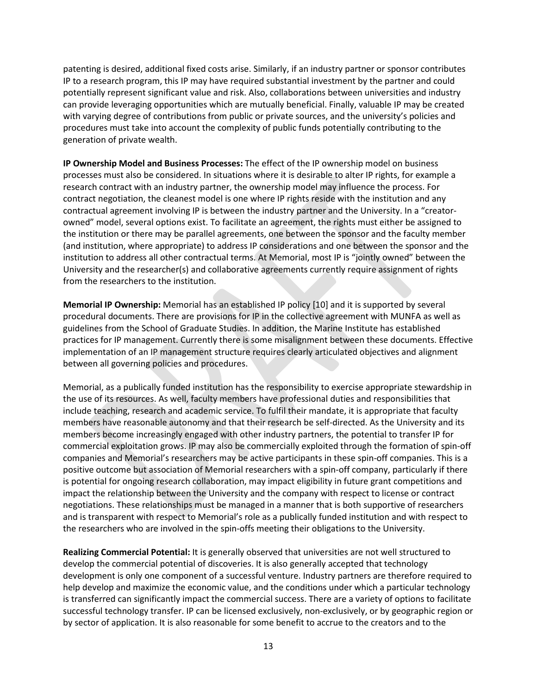patenting is desired, additional fixed costs arise. Similarly, if an industry partner or sponsor contributes IP to a research program, this IP may have required substantial investment by the partner and could potentially represent significant value and risk. Also, collaborations between universities and industry can provide leveraging opportunities which are mutually beneficial. Finally, valuable IP may be created with varying degree of contributions from public or private sources, and the university's policies and procedures must take into account the complexity of public funds potentially contributing to the generation of private wealth.

**IP Ownership Model and Business Processes:** The effect of the IP ownership model on business processes must also be considered. In situations where it is desirable to alter IP rights, for example a research contract with an industry partner, the ownership model may influence the process. For contract negotiation, the cleanest model is one where IP rights reside with the institution and any contractual agreement involving IP is between the industry partner and the University. In a "creatorowned" model, several options exist. To facilitate an agreement, the rights must either be assigned to the institution or there may be parallel agreements, one between the sponsor and the faculty member (and institution, where appropriate) to address IP considerations and one between the sponsor and the institution to address all other contractual terms. At Memorial, most IP is "jointly owned" between the University and the researcher(s) and collaborative agreements currently require assignment of rights from the researchers to the institution.

**Memorial IP Ownership:** Memorial has an established IP policy [10] and it is supported by several procedural documents. There are provisions for IP in the collective agreement with MUNFA as well as guidelines from the School of Graduate Studies. In addition, the Marine Institute has established practices for IP management. Currently there is some misalignment between these documents. Effective implementation of an IP management structure requires clearly articulated objectives and alignment between all governing policies and procedures.

Memorial, as a publically funded institution has the responsibility to exercise appropriate stewardship in the use of its resources. As well, faculty members have professional duties and responsibilities that include teaching, research and academic service. To fulfil their mandate, it is appropriate that faculty members have reasonable autonomy and that their research be self-directed. As the University and its members become increasingly engaged with other industry partners, the potential to transfer IP for commercial exploitation grows. IP may also be commercially exploited through the formation of spin-off companies and Memorial's researchers may be active participants in these spin-off companies. This is a positive outcome but association of Memorial researchers with a spin-off company, particularly if there is potential for ongoing research collaboration, may impact eligibility in future grant competitions and impact the relationship between the University and the company with respect to license or contract negotiations. These relationships must be managed in a manner that is both supportive of researchers and is transparent with respect to Memorial's role as a publically funded institution and with respect to the researchers who are involved in the spin-offs meeting their obligations to the University.

**Realizing Commercial Potential:** It is generally observed that universities are not well structured to develop the commercial potential of discoveries. It is also generally accepted that technology development is only one component of a successful venture. Industry partners are therefore required to help develop and maximize the economic value, and the conditions under which a particular technology is transferred can significantly impact the commercial success. There are a variety of options to facilitate successful technology transfer. IP can be licensed exclusively, non-exclusively, or by geographic region or by sector of application. It is also reasonable for some benefit to accrue to the creators and to the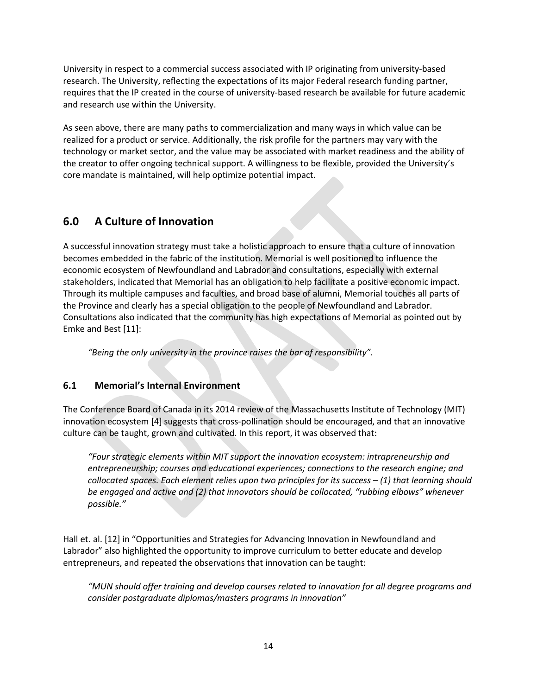University in respect to a commercial success associated with IP originating from university-based research. The University, reflecting the expectations of its major Federal research funding partner, requires that the IP created in the course of university-based research be available for future academic and research use within the University.

As seen above, there are many paths to commercialization and many ways in which value can be realized for a product or service. Additionally, the risk profile for the partners may vary with the technology or market sector, and the value may be associated with market readiness and the ability of the creator to offer ongoing technical support. A willingness to be flexible, provided the University's core mandate is maintained, will help optimize potential impact.

### <span id="page-16-0"></span>**6.0 A Culture of Innovation**

A successful innovation strategy must take a holistic approach to ensure that a culture of innovation becomes embedded in the fabric of the institution. Memorial is well positioned to influence the economic ecosystem of Newfoundland and Labrador and consultations, especially with external stakeholders, indicated that Memorial has an obligation to help facilitate a positive economic impact. Through its multiple campuses and faculties, and broad base of alumni, Memorial touches all parts of the Province and clearly has a special obligation to the people of Newfoundland and Labrador. Consultations also indicated that the community has high expectations of Memorial as pointed out by Emke and Best [11]:

*"Being the only university in the province raises the bar of responsibility".*

### <span id="page-16-1"></span>**6.1 Memorial's Internal Environment**

The Conference Board of Canada in its 2014 review of the Massachusetts Institute of Technology (MIT) innovation ecosystem [4] suggests that cross-pollination should be encouraged, and that an innovative culture can be taught, grown and cultivated. In this report, it was observed that:

*"Four strategic elements within MIT support the innovation ecosystem: intrapreneurship and entrepreneurship; courses and educational experiences; connections to the research engine; and collocated spaces. Each element relies upon two principles for its success – (1) that learning should be engaged and active and (2) that innovators should be collocated, "rubbing elbows" whenever possible."*

Hall et. al. [12] in "Opportunities and Strategies for Advancing Innovation in Newfoundland and Labrador" also highlighted the opportunity to improve curriculum to better educate and develop entrepreneurs, and repeated the observations that innovation can be taught:

*"MUN should offer training and develop courses related to innovation for all degree programs and consider postgraduate diplomas/masters programs in innovation"*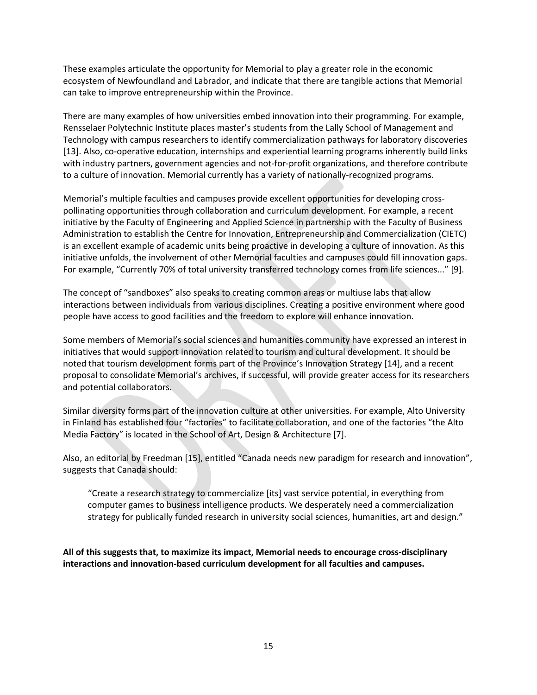These examples articulate the opportunity for Memorial to play a greater role in the economic ecosystem of Newfoundland and Labrador, and indicate that there are tangible actions that Memorial can take to improve entrepreneurship within the Province.

There are many examples of how universities embed innovation into their programming. For example, Rensselaer Polytechnic Institute places master's students from the Lally School of Management and Technology with campus researchers to identify commercialization pathways for laboratory discoveries [13]. Also, co-operative education, internships and experiential learning programs inherently build links with industry partners, government agencies and not-for-profit organizations, and therefore contribute to a culture of innovation. Memorial currently has a variety of nationally-recognized programs.

Memorial's multiple faculties and campuses provide excellent opportunities for developing crosspollinating opportunities through collaboration and curriculum development. For example, a recent initiative by the Faculty of Engineering and Applied Science in partnership with the Faculty of Business Administration to establish the Centre for Innovation, Entrepreneurship and Commercialization (CIETC) is an excellent example of academic units being proactive in developing a culture of innovation. As this initiative unfolds, the involvement of other Memorial faculties and campuses could fill innovation gaps. For example, "Currently 70% of total university transferred technology comes from life sciences..." [9].

The concept of "sandboxes" also speaks to creating common areas or multiuse labs that allow interactions between individuals from various disciplines. Creating a positive environment where good people have access to good facilities and the freedom to explore will enhance innovation.

Some members of Memorial's social sciences and humanities community have expressed an interest in initiatives that would support innovation related to tourism and cultural development. It should be noted that tourism development forms part of the Province's Innovation Strategy [14], and a recent proposal to consolidate Memorial's archives, if successful, will provide greater access for its researchers and potential collaborators.

Similar diversity forms part of the innovation culture at other universities. For example, Alto University in Finland has established four "factories" to facilitate collaboration, and one of the factories "the Alto Media Factory" is located in the School of Art, Design & Architecture [7].

Also, an editorial by Freedman [15], entitled "Canada needs new paradigm for research and innovation", suggests that Canada should:

"Create a research strategy to commercialize [its] vast service potential, in everything from computer games to business intelligence products. We desperately need a commercialization strategy for publically funded research in university social sciences, humanities, art and design."

**All of this suggests that, to maximize its impact, Memorial needs to encourage cross-disciplinary interactions and innovation-based curriculum development for all faculties and campuses.**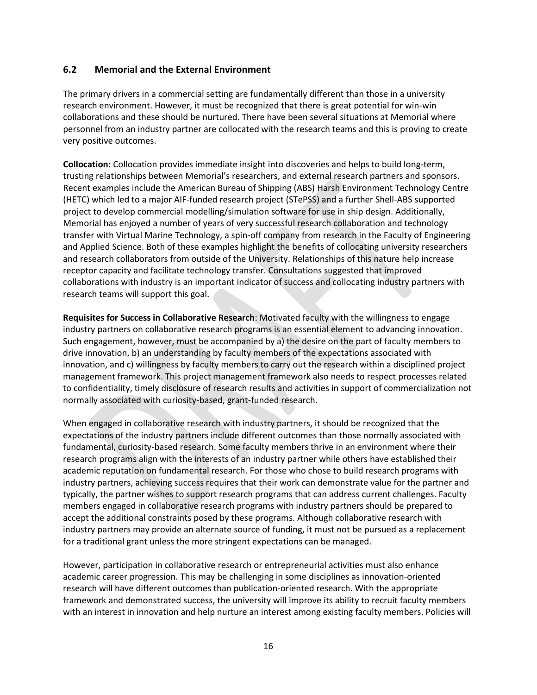#### <span id="page-18-0"></span>**6.2 Memorial and the External Environment**

The primary drivers in a commercial setting are fundamentally different than those in a university research environment. However, it must be recognized that there is great potential for win-win collaborations and these should be nurtured. There have been several situations at Memorial where personnel from an industry partner are collocated with the research teams and this is proving to create very positive outcomes.

**Collocation:** Collocation provides immediate insight into discoveries and helps to build long-term, trusting relationships between Memorial's researchers, and external research partners and sponsors. Recent examples include the American Bureau of Shipping (ABS) Harsh Environment Technology Centre (HETC) which led to a major AIF-funded research project (STePSS) and a further Shell-ABS supported project to develop commercial modelling/simulation software for use in ship design. Additionally, Memorial has enjoyed a number of years of very successful research collaboration and technology transfer with Virtual Marine Technology, a spin-off company from research in the Faculty of Engineering and Applied Science. Both of these examples highlight the benefits of collocating university researchers and research collaborators from outside of the University. Relationships of this nature help increase receptor capacity and facilitate technology transfer. Consultations suggested that improved collaborations with industry is an important indicator of success and collocating industry partners with research teams will support this goal.

**Requisites for Success in Collaborative Research**: Motivated faculty with the willingness to engage industry partners on collaborative research programs is an essential element to advancing innovation. Such engagement, however, must be accompanied by a) the desire on the part of faculty members to drive innovation, b) an understanding by faculty members of the expectations associated with innovation, and c) willingness by faculty members to carry out the research within a disciplined project management framework. This project management framework also needs to respect processes related to confidentiality, timely disclosure of research results and activities in support of commercialization not normally associated with curiosity-based, grant-funded research.

When engaged in collaborative research with industry partners, it should be recognized that the expectations of the industry partners include different outcomes than those normally associated with fundamental, curiosity-based research. Some faculty members thrive in an environment where their research programs align with the interests of an industry partner while others have established their academic reputation on fundamental research. For those who chose to build research programs with industry partners, achieving success requires that their work can demonstrate value for the partner and typically, the partner wishes to support research programs that can address current challenges. Faculty members engaged in collaborative research programs with industry partners should be prepared to accept the additional constraints posed by these programs. Although collaborative research with industry partners may provide an alternate source of funding, it must not be pursued as a replacement for a traditional grant unless the more stringent expectations can be managed.

However, participation in collaborative research or entrepreneurial activities must also enhance academic career progression. This may be challenging in some disciplines as innovation-oriented research will have different outcomes than publication-oriented research. With the appropriate framework and demonstrated success, the university will improve its ability to recruit faculty members with an interest in innovation and help nurture an interest among existing faculty members. Policies will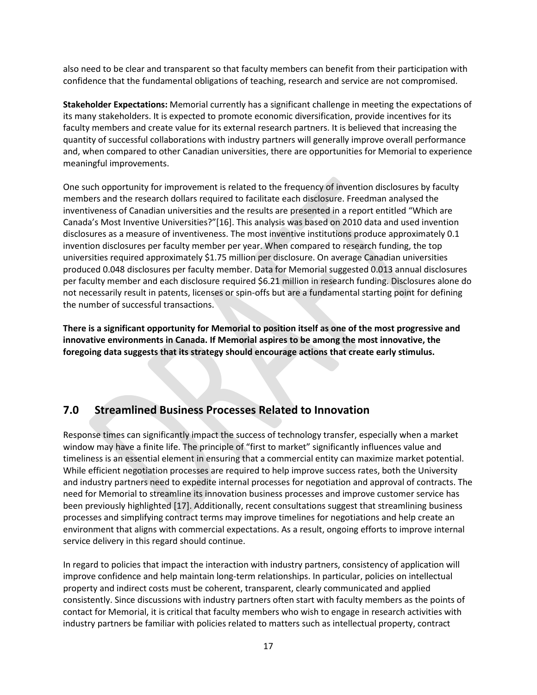also need to be clear and transparent so that faculty members can benefit from their participation with confidence that the fundamental obligations of teaching, research and service are not compromised.

**Stakeholder Expectations:** Memorial currently has a significant challenge in meeting the expectations of its many stakeholders. It is expected to promote economic diversification, provide incentives for its faculty members and create value for its external research partners. It is believed that increasing the quantity of successful collaborations with industry partners will generally improve overall performance and, when compared to other Canadian universities, there are opportunities for Memorial to experience meaningful improvements.

One such opportunity for improvement is related to the frequency of invention disclosures by faculty members and the research dollars required to facilitate each disclosure. Freedman analysed the inventiveness of Canadian universities and the results are presented in a report entitled "Which are Canada's Most Inventive Universities?"[16]. This analysis was based on 2010 data and used invention disclosures as a measure of inventiveness. The most inventive institutions produce approximately 0.1 invention disclosures per faculty member per year. When compared to research funding, the top universities required approximately \$1.75 million per disclosure. On average Canadian universities produced 0.048 disclosures per faculty member. Data for Memorial suggested 0.013 annual disclosures per faculty member and each disclosure required \$6.21 million in research funding. Disclosures alone do not necessarily result in patents, licenses or spin-offs but are a fundamental starting point for defining the number of successful transactions.

**There is a significant opportunity for Memorial to position itself as one of the most progressive and innovative environments in Canada. If Memorial aspires to be among the most innovative, the foregoing data suggests that its strategy should encourage actions that create early stimulus.** 

### <span id="page-19-0"></span>**7.0 Streamlined Business Processes Related to Innovation**

Response times can significantly impact the success of technology transfer, especially when a market window may have a finite life. The principle of "first to market" significantly influences value and timeliness is an essential element in ensuring that a commercial entity can maximize market potential. While efficient negotiation processes are required to help improve success rates, both the University and industry partners need to expedite internal processes for negotiation and approval of contracts. The need for Memorial to streamline its innovation business processes and improve customer service has been previously highlighted [17]. Additionally, recent consultations suggest that streamlining business processes and simplifying contract terms may improve timelines for negotiations and help create an environment that aligns with commercial expectations. As a result, ongoing efforts to improve internal service delivery in this regard should continue.

In regard to policies that impact the interaction with industry partners, consistency of application will improve confidence and help maintain long-term relationships. In particular, policies on intellectual property and indirect costs must be coherent, transparent, clearly communicated and applied consistently. Since discussions with industry partners often start with faculty members as the points of contact for Memorial, it is critical that faculty members who wish to engage in research activities with industry partners be familiar with policies related to matters such as intellectual property, contract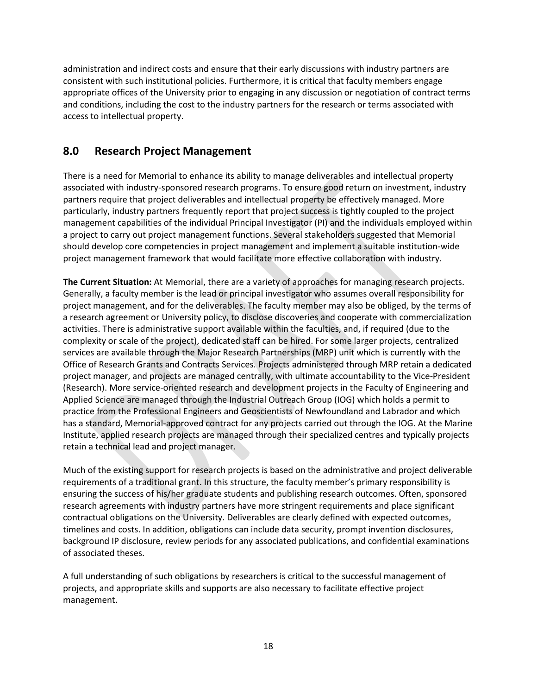administration and indirect costs and ensure that their early discussions with industry partners are consistent with such institutional policies. Furthermore, it is critical that faculty members engage appropriate offices of the University prior to engaging in any discussion or negotiation of contract terms and conditions, including the cost to the industry partners for the research or terms associated with access to intellectual property.

### <span id="page-20-0"></span>**8.0 Research Project Management**

There is a need for Memorial to enhance its ability to manage deliverables and intellectual property associated with industry-sponsored research programs. To ensure good return on investment, industry partners require that project deliverables and intellectual property be effectively managed. More particularly, industry partners frequently report that project success is tightly coupled to the project management capabilities of the individual Principal Investigator (PI) and the individuals employed within a project to carry out project management functions. Several stakeholders suggested that Memorial should develop core competencies in project management and implement a suitable institution-wide project management framework that would facilitate more effective collaboration with industry.

**The Current Situation:** At Memorial, there are a variety of approaches for managing research projects. Generally, a faculty member is the lead or principal investigator who assumes overall responsibility for project management, and for the deliverables. The faculty member may also be obliged, by the terms of a research agreement or University policy, to disclose discoveries and cooperate with commercialization activities. There is administrative support available within the faculties, and, if required (due to the complexity or scale of the project), dedicated staff can be hired. For some larger projects, centralized services are available through the Major Research Partnerships (MRP) unit which is currently with the Office of Research Grants and Contracts Services. Projects administered through MRP retain a dedicated project manager, and projects are managed centrally, with ultimate accountability to the Vice-President (Research). More service-oriented research and development projects in the Faculty of Engineering and Applied Science are managed through the Industrial Outreach Group (IOG) which holds a permit to practice from the Professional Engineers and Geoscientists of Newfoundland and Labrador and which has a standard, Memorial-approved contract for any projects carried out through the IOG. At the Marine Institute, applied research projects are managed through their specialized centres and typically projects retain a technical lead and project manager.

Much of the existing support for research projects is based on the administrative and project deliverable requirements of a traditional grant. In this structure, the faculty member's primary responsibility is ensuring the success of his/her graduate students and publishing research outcomes. Often, sponsored research agreements with industry partners have more stringent requirements and place significant contractual obligations on the University. Deliverables are clearly defined with expected outcomes, timelines and costs. In addition, obligations can include data security, prompt invention disclosures, background IP disclosure, review periods for any associated publications, and confidential examinations of associated theses.

A full understanding of such obligations by researchers is critical to the successful management of projects, and appropriate skills and supports are also necessary to facilitate effective project management.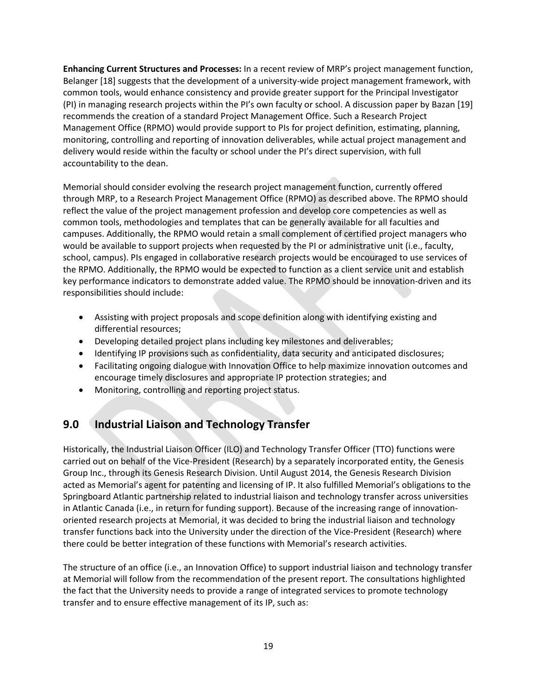**Enhancing Current Structures and Processes:** In a recent review of MRP's project management function, Belanger [18] suggests that the development of a university-wide project management framework, with common tools, would enhance consistency and provide greater support for the Principal Investigator (PI) in managing research projects within the PI's own faculty or school. A discussion paper by Bazan [19] recommends the creation of a standard Project Management Office. Such a Research Project Management Office (RPMO) would provide support to PIs for project definition, estimating, planning, monitoring, controlling and reporting of innovation deliverables, while actual project management and delivery would reside within the faculty or school under the PI's direct supervision, with full accountability to the dean.

Memorial should consider evolving the research project management function, currently offered through MRP, to a Research Project Management Office (RPMO) as described above. The RPMO should reflect the value of the project management profession and develop core competencies as well as common tools, methodologies and templates that can be generally available for all faculties and campuses. Additionally, the RPMO would retain a small complement of certified project managers who would be available to support projects when requested by the PI or administrative unit (i.e., faculty, school, campus). PIs engaged in collaborative research projects would be encouraged to use services of the RPMO. Additionally, the RPMO would be expected to function as a client service unit and establish key performance indicators to demonstrate added value. The RPMO should be innovation-driven and its responsibilities should include:

- Assisting with project proposals and scope definition along with identifying existing and differential resources;
- Developing detailed project plans including key milestones and deliverables;
- Identifying IP provisions such as confidentiality, data security and anticipated disclosures;
- Facilitating ongoing dialogue with Innovation Office to help maximize innovation outcomes and encourage timely disclosures and appropriate IP protection strategies; and
- <span id="page-21-0"></span>• Monitoring, controlling and reporting project status.

### **9.0 Industrial Liaison and Technology Transfer**

Historically, the Industrial Liaison Officer (ILO) and Technology Transfer Officer (TTO) functions were carried out on behalf of the Vice-President (Research) by a separately incorporated entity, the Genesis Group Inc., through its Genesis Research Division. Until August 2014, the Genesis Research Division acted as Memorial's agent for patenting and licensing of IP. It also fulfilled Memorial's obligations to the Springboard Atlantic partnership related to industrial liaison and technology transfer across universities in Atlantic Canada (i.e., in return for funding support). Because of the increasing range of innovationoriented research projects at Memorial, it was decided to bring the industrial liaison and technology transfer functions back into the University under the direction of the Vice-President (Research) where there could be better integration of these functions with Memorial's research activities.

The structure of an office (i.e., an Innovation Office) to support industrial liaison and technology transfer at Memorial will follow from the recommendation of the present report. The consultations highlighted the fact that the University needs to provide a range of integrated services to promote technology transfer and to ensure effective management of its IP, such as: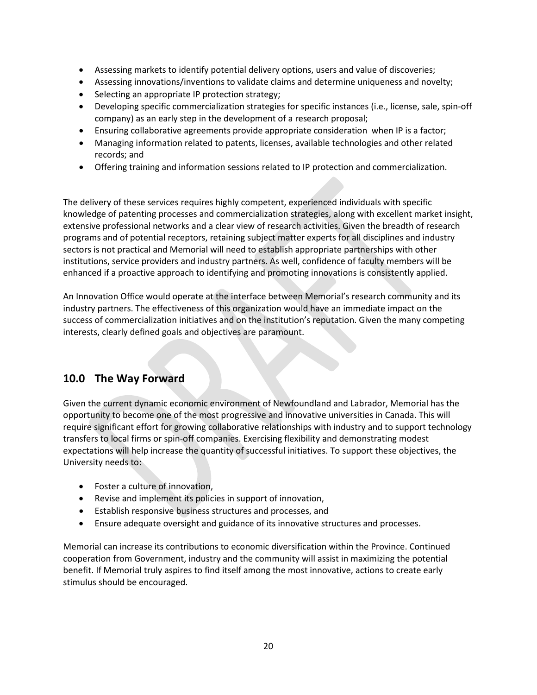- Assessing markets to identify potential delivery options, users and value of discoveries;
- Assessing innovations/inventions to validate claims and determine uniqueness and novelty;
- Selecting an appropriate IP protection strategy;
- Developing specific commercialization strategies for specific instances (i.e., license, sale, spin-off company) as an early step in the development of a research proposal;
- Ensuring collaborative agreements provide appropriate consideration when IP is a factor;
- Managing information related to patents, licenses, available technologies and other related records; and
- Offering training and information sessions related to IP protection and commercialization.

The delivery of these services requires highly competent, experienced individuals with specific knowledge of patenting processes and commercialization strategies, along with excellent market insight, extensive professional networks and a clear view of research activities. Given the breadth of research programs and of potential receptors, retaining subject matter experts for all disciplines and industry sectors is not practical and Memorial will need to establish appropriate partnerships with other institutions, service providers and industry partners. As well, confidence of faculty members will be enhanced if a proactive approach to identifying and promoting innovations is consistently applied.

An Innovation Office would operate at the interface between Memorial's research community and its industry partners. The effectiveness of this organization would have an immediate impact on the success of commercialization initiatives and on the institution's reputation. Given the many competing interests, clearly defined goals and objectives are paramount.

### <span id="page-22-0"></span>**10.0 The Way Forward**

Given the current dynamic economic environment of Newfoundland and Labrador, Memorial has the opportunity to become one of the most progressive and innovative universities in Canada. This will require significant effort for growing collaborative relationships with industry and to support technology transfers to local firms or spin-off companies. Exercising flexibility and demonstrating modest expectations will help increase the quantity of successful initiatives. To support these objectives, the University needs to:

- Foster a culture of innovation,
- Revise and implement its policies in support of innovation,
- Establish responsive business structures and processes, and
- Ensure adequate oversight and guidance of its innovative structures and processes.

Memorial can increase its contributions to economic diversification within the Province. Continued cooperation from Government, industry and the community will assist in maximizing the potential benefit. If Memorial truly aspires to find itself among the most innovative, actions to create early stimulus should be encouraged.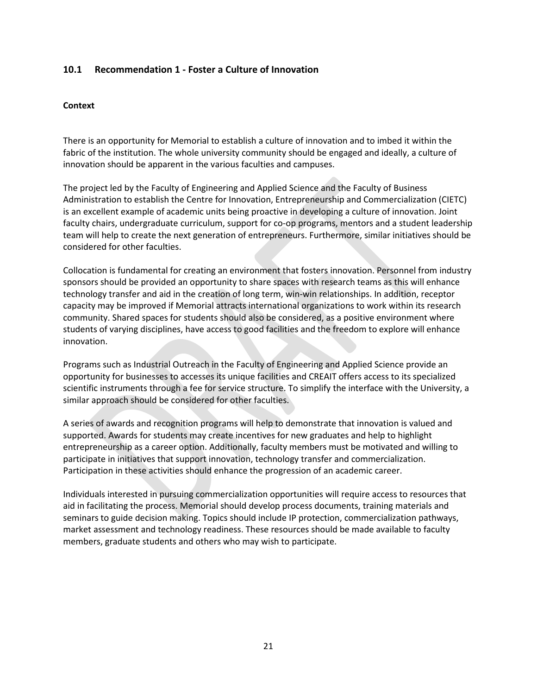#### <span id="page-23-0"></span>**10.1 Recommendation 1 - Foster a Culture of Innovation**

#### **Context**

There is an opportunity for Memorial to establish a culture of innovation and to imbed it within the fabric of the institution. The whole university community should be engaged and ideally, a culture of innovation should be apparent in the various faculties and campuses.

The project led by the Faculty of Engineering and Applied Science and the Faculty of Business Administration to establish the Centre for Innovation, Entrepreneurship and Commercialization (CIETC) is an excellent example of academic units being proactive in developing a culture of innovation. Joint faculty chairs, undergraduate curriculum, support for co-op programs, mentors and a student leadership team will help to create the next generation of entrepreneurs. Furthermore, similar initiatives should be considered for other faculties.

Collocation is fundamental for creating an environment that fosters innovation. Personnel from industry sponsors should be provided an opportunity to share spaces with research teams as this will enhance technology transfer and aid in the creation of long term, win-win relationships. In addition, receptor capacity may be improved if Memorial attracts international organizations to work within its research community. Shared spaces for students should also be considered, as a positive environment where students of varying disciplines, have access to good facilities and the freedom to explore will enhance innovation.

Programs such as Industrial Outreach in the Faculty of Engineering and Applied Science provide an opportunity for businesses to accesses its unique facilities and CREAIT offers access to its specialized scientific instruments through a fee for service structure. To simplify the interface with the University, a similar approach should be considered for other faculties.

A series of awards and recognition programs will help to demonstrate that innovation is valued and supported. Awards for students may create incentives for new graduates and help to highlight entrepreneurship as a career option. Additionally, faculty members must be motivated and willing to participate in initiatives that support innovation, technology transfer and commercialization. Participation in these activities should enhance the progression of an academic career.

Individuals interested in pursuing commercialization opportunities will require access to resources that aid in facilitating the process. Memorial should develop process documents, training materials and seminars to guide decision making. Topics should include IP protection, commercialization pathways, market assessment and technology readiness. These resources should be made available to faculty members, graduate students and others who may wish to participate.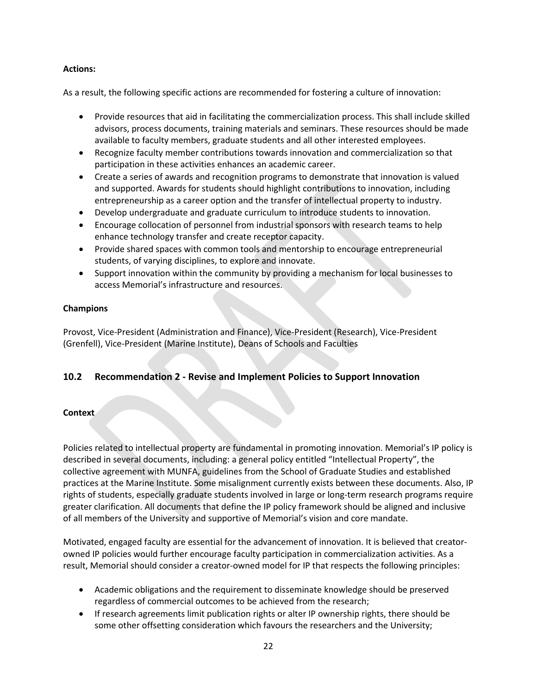#### **Actions:**

As a result, the following specific actions are recommended for fostering a culture of innovation:

- Provide resources that aid in facilitating the commercialization process. This shall include skilled advisors, process documents, training materials and seminars. These resources should be made available to faculty members, graduate students and all other interested employees.
- Recognize faculty member contributions towards innovation and commercialization so that participation in these activities enhances an academic career.
- Create a series of awards and recognition programs to demonstrate that innovation is valued and supported. Awards for students should highlight contributions to innovation, including entrepreneurship as a career option and the transfer of intellectual property to industry.
- Develop undergraduate and graduate curriculum to introduce students to innovation.
- Encourage collocation of personnel from industrial sponsors with research teams to help enhance technology transfer and create receptor capacity.
- Provide shared spaces with common tools and mentorship to encourage entrepreneurial students, of varying disciplines, to explore and innovate.
- Support innovation within the community by providing a mechanism for local businesses to access Memorial's infrastructure and resources.

#### **Champions**

Provost, Vice-President (Administration and Finance), Vice-President (Research), Vice-President (Grenfell), Vice-President (Marine Institute), Deans of Schools and Faculties

#### <span id="page-24-0"></span>**10.2 Recommendation 2 - Revise and Implement Policies to Support Innovation**

#### **Context**

Policies related to intellectual property are fundamental in promoting innovation. Memorial's IP policy is described in several documents, including: a general policy entitled "Intellectual Property", the collective agreement with MUNFA, guidelines from the School of Graduate Studies and established practices at the Marine Institute. Some misalignment currently exists between these documents. Also, IP rights of students, especially graduate students involved in large or long-term research programs require greater clarification. All documents that define the IP policy framework should be aligned and inclusive of all members of the University and supportive of Memorial's vision and core mandate.

Motivated, engaged faculty are essential for the advancement of innovation. It is believed that creatorowned IP policies would further encourage faculty participation in commercialization activities. As a result, Memorial should consider a creator-owned model for IP that respects the following principles:

- Academic obligations and the requirement to disseminate knowledge should be preserved regardless of commercial outcomes to be achieved from the research;
- If research agreements limit publication rights or alter IP ownership rights, there should be some other offsetting consideration which favours the researchers and the University;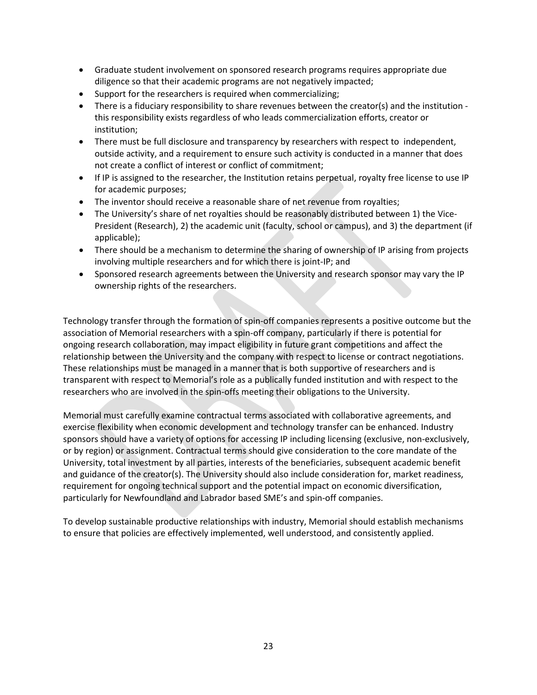- Graduate student involvement on sponsored research programs requires appropriate due diligence so that their academic programs are not negatively impacted;
- Support for the researchers is required when commercializing;
- There is a fiduciary responsibility to share revenues between the creator(s) and the institution this responsibility exists regardless of who leads commercialization efforts, creator or institution;
- There must be full disclosure and transparency by researchers with respect to independent, outside activity, and a requirement to ensure such activity is conducted in a manner that does not create a conflict of interest or conflict of commitment;
- If IP is assigned to the researcher, the Institution retains perpetual, royalty free license to use IP for academic purposes;
- The inventor should receive a reasonable share of net revenue from royalties;
- The University's share of net royalties should be reasonably distributed between 1) the Vice-President (Research), 2) the academic unit (faculty, school or campus), and 3) the department (if applicable);
- There should be a mechanism to determine the sharing of ownership of IP arising from projects involving multiple researchers and for which there is joint-IP; and
- Sponsored research agreements between the University and research sponsor may vary the IP ownership rights of the researchers.

Technology transfer through the formation of spin-off companies represents a positive outcome but the association of Memorial researchers with a spin-off company, particularly if there is potential for ongoing research collaboration, may impact eligibility in future grant competitions and affect the relationship between the University and the company with respect to license or contract negotiations. These relationships must be managed in a manner that is both supportive of researchers and is transparent with respect to Memorial's role as a publically funded institution and with respect to the researchers who are involved in the spin-offs meeting their obligations to the University.

Memorial must carefully examine contractual terms associated with collaborative agreements, and exercise flexibility when economic development and technology transfer can be enhanced. Industry sponsors should have a variety of options for accessing IP including licensing (exclusive, non-exclusively, or by region) or assignment. Contractual terms should give consideration to the core mandate of the University, total investment by all parties, interests of the beneficiaries, subsequent academic benefit and guidance of the creator(s). The University should also include consideration for, market readiness, requirement for ongoing technical support and the potential impact on economic diversification, particularly for Newfoundland and Labrador based SME's and spin-off companies.

To develop sustainable productive relationships with industry, Memorial should establish mechanisms to ensure that policies are effectively implemented, well understood, and consistently applied.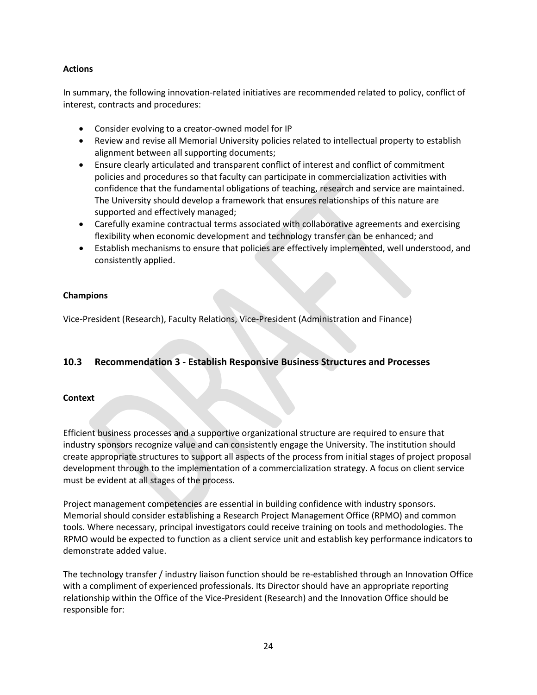#### **Actions**

In summary, the following innovation-related initiatives are recommended related to policy, conflict of interest, contracts and procedures:

- Consider evolving to a creator-owned model for IP
- Review and revise all Memorial University policies related to intellectual property to establish alignment between all supporting documents;
- Ensure clearly articulated and transparent conflict of interest and conflict of commitment policies and procedures so that faculty can participate in commercialization activities with confidence that the fundamental obligations of teaching, research and service are maintained. The University should develop a framework that ensures relationships of this nature are supported and effectively managed;
- Carefully examine contractual terms associated with collaborative agreements and exercising flexibility when economic development and technology transfer can be enhanced; and
- Establish mechanisms to ensure that policies are effectively implemented, well understood, and consistently applied.

#### **Champions**

Vice-President (Research), Faculty Relations, Vice-President (Administration and Finance)

#### <span id="page-26-0"></span>**10.3 Recommendation 3 - Establish Responsive Business Structures and Processes**

#### **Context**

Efficient business processes and a supportive organizational structure are required to ensure that industry sponsors recognize value and can consistently engage the University. The institution should create appropriate structures to support all aspects of the process from initial stages of project proposal development through to the implementation of a commercialization strategy. A focus on client service must be evident at all stages of the process.

Project management competencies are essential in building confidence with industry sponsors. Memorial should consider establishing a Research Project Management Office (RPMO) and common tools. Where necessary, principal investigators could receive training on tools and methodologies. The RPMO would be expected to function as a client service unit and establish key performance indicators to demonstrate added value.

The technology transfer / industry liaison function should be re-established through an Innovation Office with a compliment of experienced professionals. Its Director should have an appropriate reporting relationship within the Office of the Vice-President (Research) and the Innovation Office should be responsible for: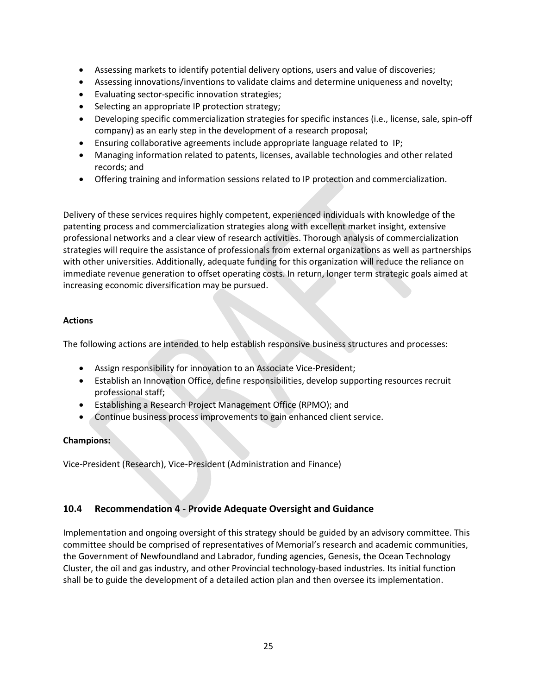- Assessing markets to identify potential delivery options, users and value of discoveries;
- Assessing innovations/inventions to validate claims and determine uniqueness and novelty;
- Evaluating sector-specific innovation strategies;
- Selecting an appropriate IP protection strategy;
- Developing specific commercialization strategies for specific instances (i.e., license, sale, spin-off company) as an early step in the development of a research proposal;
- Ensuring collaborative agreements include appropriate language related to IP;
- Managing information related to patents, licenses, available technologies and other related records; and
- Offering training and information sessions related to IP protection and commercialization.

Delivery of these services requires highly competent, experienced individuals with knowledge of the patenting process and commercialization strategies along with excellent market insight, extensive professional networks and a clear view of research activities. Thorough analysis of commercialization strategies will require the assistance of professionals from external organizations as well as partnerships with other universities. Additionally, adequate funding for this organization will reduce the reliance on immediate revenue generation to offset operating costs. In return, longer term strategic goals aimed at increasing economic diversification may be pursued.

#### **Actions**

The following actions are intended to help establish responsive business structures and processes:

- Assign responsibility for innovation to an Associate Vice-President;
- Establish an Innovation Office, define responsibilities, develop supporting resources recruit professional staff;
- Establishing a Research Project Management Office (RPMO); and
- Continue business process improvements to gain enhanced client service.

#### **Champions:**

Vice-President (Research), Vice-President (Administration and Finance)

### <span id="page-27-0"></span>**10.4 Recommendation 4 - Provide Adequate Oversight and Guidance**

Implementation and ongoing oversight of this strategy should be guided by an advisory committee. This committee should be comprised of representatives of Memorial's research and academic communities, the Government of Newfoundland and Labrador, funding agencies, Genesis, the Ocean Technology Cluster, the oil and gas industry, and other Provincial technology-based industries. Its initial function shall be to guide the development of a detailed action plan and then oversee its implementation.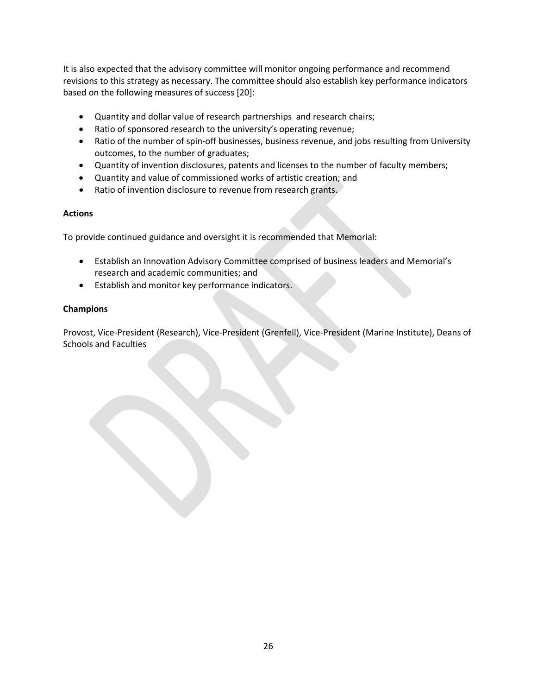It is also expected that the advisory committee will monitor ongoing performance and recommend revisions to this strategy as necessary. The committee should also establish key performance indicators based on the following measures of success [20]:

- Quantity and dollar value of research partnerships and research chairs;
- Ratio of sponsored research to the university's operating revenue;
- Ratio of the number of spin-off businesses, business revenue, and jobs resulting from University outcomes, to the number of graduates;
- Quantity of invention disclosures, patents and licenses to the number of faculty members;
- Quantity and value of commissioned works of artistic creation; and
- Ratio of invention disclosure to revenue from research grants.

#### **Actions**

To provide continued guidance and oversight it is recommended that Memorial:

- Establish an Innovation Advisory Committee comprised of business leaders and Memorial's research and academic communities; and
- Establish and monitor key performance indicators.

#### **Champions**

Provost, Vice-President (Research), Vice-President (Grenfell), Vice-President (Marine Institute), Deans of Schools and Faculties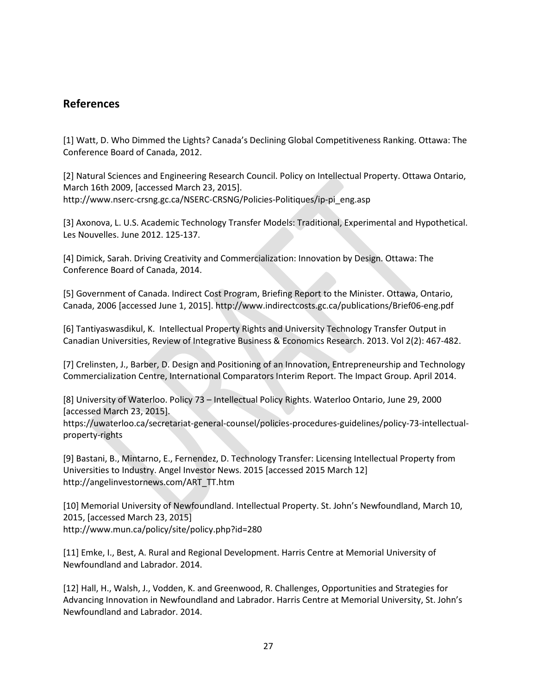### <span id="page-29-0"></span>**References**

[1] Watt, D. Who Dimmed the Lights? Canada's Declining Global Competitiveness Ranking. Ottawa: The Conference Board of Canada, 2012.

[2] Natural Sciences and Engineering Research Council. Policy on Intellectual Property. Ottawa Ontario, March 16th 2009, [accessed March 23, 2015]. http://www.nserc-crsng.gc.ca/NSERC-CRSNG/Policies-Politiques/ip-pi\_eng.asp

[3] Axonova, L. U.S. Academic Technology Transfer Models: Traditional, Experimental and Hypothetical. Les Nouvelles. June 2012. 125-137.

[4] Dimick, Sarah. Driving Creativity and Commercialization: Innovation by Design. Ottawa: The Conference Board of Canada, 2014.

[5] Government of Canada. Indirect Cost Program, Briefing Report to the Minister. Ottawa, Ontario, Canada, 2006 [accessed June 1, 2015]. http://www.indirectcosts.gc.ca/publications/Brief06-eng.pdf

[6] Tantiyaswasdikul, K. Intellectual Property Rights and University Technology Transfer Output in Canadian Universities, Review of Integrative Business & Economics Research. 2013. Vol 2(2): 467-482.

[7] Crelinsten, J., Barber, D. Design and Positioning of an Innovation, Entrepreneurship and Technology Commercialization Centre, International Comparators Interim Report. The Impact Group. April 2014.

[8] University of Waterloo. Policy 73 – Intellectual Policy Rights. Waterloo Ontario, June 29, 2000 [accessed March 23, 2015].

https://uwaterloo.ca/secretariat-general-counsel/policies-procedures-guidelines/policy-73-intellectualproperty-rights

[9] Bastani, B., Mintarno, E., Fernendez, D. Technology Transfer: Licensing Intellectual Property from Universities to Industry. Angel Investor News. 2015 [accessed 2015 March 12] http://angelinvestornews.com/ART\_TT.htm

[10] Memorial University of Newfoundland. Intellectual Property. St. John's Newfoundland, March 10, 2015, [accessed March 23, 2015] http://www.mun.ca/policy/site/policy.php?id=280

[11] Emke, I., Best, A. Rural and Regional Development. Harris Centre at Memorial University of Newfoundland and Labrador. 2014.

[12] Hall, H., Walsh, J., Vodden, K. and Greenwood, R. Challenges, Opportunities and Strategies for Advancing Innovation in Newfoundland and Labrador. Harris Centre at Memorial University, St. John's Newfoundland and Labrador. 2014.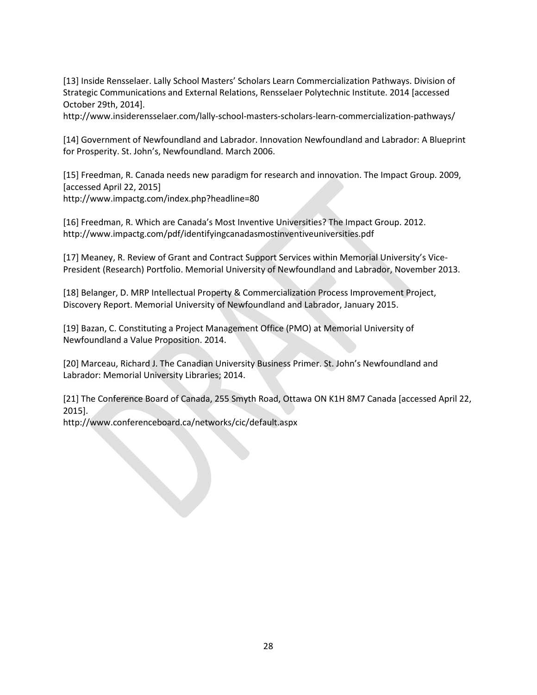[13] Inside Rensselaer. Lally School Masters' Scholars Learn Commercialization Pathways. Division of Strategic Communications and External Relations, Rensselaer Polytechnic Institute. 2014 [accessed October 29th, 2014].

http://www.insiderensselaer.com/lally-school-masters-scholars-learn-commercialization-pathways/

[14] Government of Newfoundland and Labrador. Innovation Newfoundland and Labrador: A Blueprint for Prosperity. St. John's, Newfoundland. March 2006.

[15] Freedman, R. Canada needs new paradigm for research and innovation. The Impact Group. 2009, [accessed April 22, 2015] http://www.impactg.com/index.php?headline=80

[16] Freedman, R. Which are Canada's Most Inventive Universities? The Impact Group. 2012. http://www.impactg.com/pdf/identifyingcanadasmostinventiveuniversities.pdf

[17] Meaney, R. Review of Grant and Contract Support Services within Memorial University's Vice-President (Research) Portfolio. Memorial University of Newfoundland and Labrador, November 2013.

[18] Belanger, D. MRP Intellectual Property & Commercialization Process Improvement Project, Discovery Report. Memorial University of Newfoundland and Labrador, January 2015.

[19] Bazan, C. Constituting a Project Management Office (PMO) at Memorial University of Newfoundland a Value Proposition. 2014.

[20] Marceau, Richard J. The Canadian University Business Primer. St. John's Newfoundland and Labrador: Memorial University Libraries; 2014.

[21] The Conference Board of Canada, 255 Smyth Road, Ottawa ON K1H 8M7 Canada [accessed April 22, 2015].

http://www.conferenceboard.ca/networks/cic/default.aspx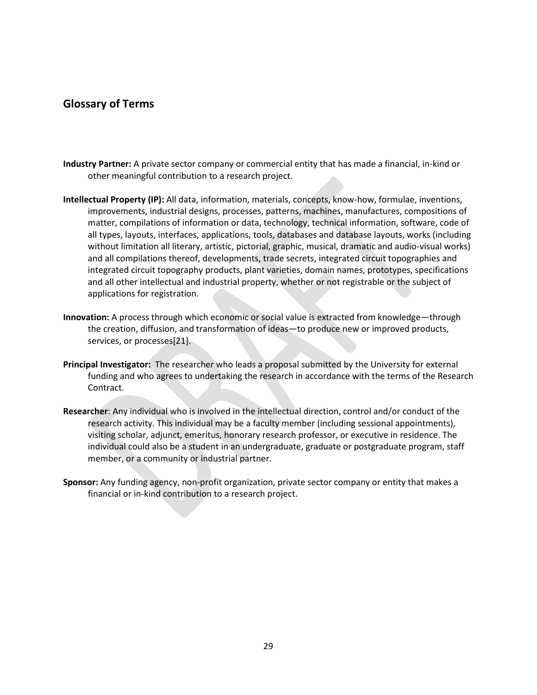### <span id="page-31-0"></span>**Glossary of Terms**

- **Industry Partner:** A private sector company or commercial entity that has made a financial, in-kind or other meaningful contribution to a research project.
- **Intellectual Property (IP):** All data, information, materials, concepts, know-how, formulae, inventions, improvements, industrial designs, processes, patterns, machines, manufactures, compositions of matter, compilations of information or data, technology, technical information, software, code of all types, layouts, interfaces, applications, tools, databases and database layouts, works (including without limitation all literary, artistic, pictorial, graphic, musical, dramatic and audio-visual works) and all compilations thereof, developments, trade secrets, integrated circuit topographies and integrated circuit topography products, plant varieties, domain names, prototypes, specifications and all other intellectual and industrial property, whether or not registrable or the subject of applications for registration.
- **Innovation:** A process through which economic or social value is extracted from knowledge—through the creation, diffusion, and transformation of ideas—to produce new or improved products, services, or processes[21].
- **Principal Investigator:** The researcher who leads a proposal submitted by the University for external funding and who agrees to undertaking the research in accordance with the terms of the Research Contract.
- **Researcher**: Any individual who is involved in the intellectual direction, control and/or conduct of the research activity. This individual may be a faculty member (including sessional appointments), visiting scholar, adjunct, emeritus, honorary research professor, or executive in residence. The individual could also be a student in an undergraduate, graduate or postgraduate program, staff member, or a community or industrial partner.
- **Sponsor:** Any funding agency, non-profit organization, private sector company or entity that makes a financial or in-kind contribution to a research project.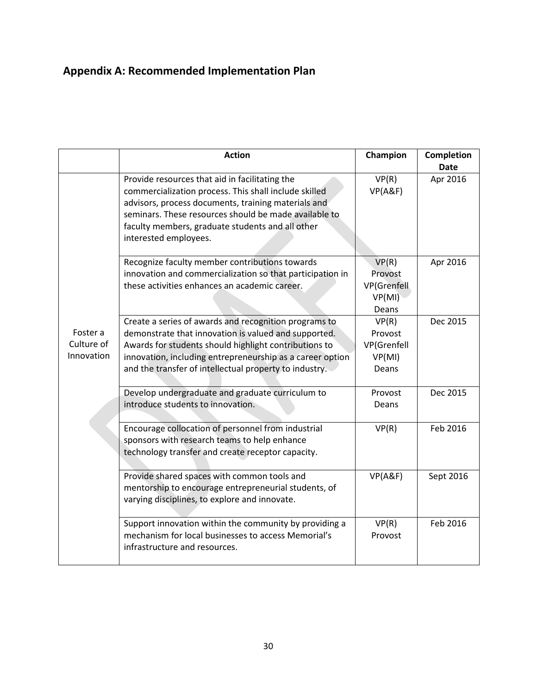# <span id="page-32-0"></span>**Appendix A: Recommended Implementation Plan**

|                                      | <b>Action</b>                                                                                                                                                                                                                                                                                        | Champion                                                   | Completion<br><b>Date</b> |
|--------------------------------------|------------------------------------------------------------------------------------------------------------------------------------------------------------------------------------------------------------------------------------------------------------------------------------------------------|------------------------------------------------------------|---------------------------|
|                                      | Provide resources that aid in facilitating the<br>commercialization process. This shall include skilled<br>advisors, process documents, training materials and<br>seminars. These resources should be made available to<br>faculty members, graduate students and all other<br>interested employees. | VP(R)<br>VP(A&F)                                           | Apr 2016                  |
|                                      | Recognize faculty member contributions towards<br>innovation and commercialization so that participation in<br>these activities enhances an academic career.                                                                                                                                         | VP(R)<br>Provost<br><b>VP</b> (Grenfell<br>VP(MI)<br>Deans | Apr 2016                  |
| Foster a<br>Culture of<br>Innovation | Create a series of awards and recognition programs to<br>demonstrate that innovation is valued and supported.<br>Awards for students should highlight contributions to<br>innovation, including entrepreneurship as a career option<br>and the transfer of intellectual property to industry.        | VP(R)<br>Provost<br>VP(Grenfell<br>VP(MI)<br>Deans         | Dec 2015                  |
|                                      | Develop undergraduate and graduate curriculum to<br>introduce students to innovation.                                                                                                                                                                                                                | Provost<br>Deans                                           | Dec 2015                  |
|                                      | Encourage collocation of personnel from industrial<br>sponsors with research teams to help enhance<br>technology transfer and create receptor capacity.                                                                                                                                              | VP(R)                                                      | Feb 2016                  |
|                                      | Provide shared spaces with common tools and<br>mentorship to encourage entrepreneurial students, of<br>varying disciplines, to explore and innovate.                                                                                                                                                 | VP(A&F)                                                    | Sept 2016                 |
|                                      | Support innovation within the community by providing a<br>mechanism for local businesses to access Memorial's<br>infrastructure and resources.                                                                                                                                                       | VP(R)<br>Provost                                           | Feb 2016                  |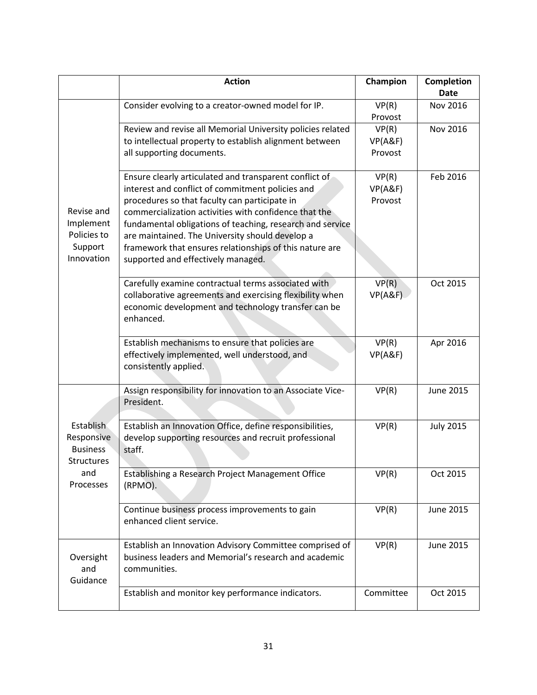|                                                                 | <b>Action</b>                                                                                                                                                                                                                                                                                                                                                                                                                         | Champion                    | <b>Completion</b><br><b>Date</b> |
|-----------------------------------------------------------------|---------------------------------------------------------------------------------------------------------------------------------------------------------------------------------------------------------------------------------------------------------------------------------------------------------------------------------------------------------------------------------------------------------------------------------------|-----------------------------|----------------------------------|
|                                                                 | Consider evolving to a creator-owned model for IP.                                                                                                                                                                                                                                                                                                                                                                                    | VP(R)<br>Provost            | Nov 2016                         |
|                                                                 | Review and revise all Memorial University policies related<br>to intellectual property to establish alignment between<br>all supporting documents.                                                                                                                                                                                                                                                                                    | VP(R)<br>VP(A&F)<br>Provost | <b>Nov 2016</b>                  |
| Revise and<br>Implement<br>Policies to<br>Support<br>Innovation | Ensure clearly articulated and transparent conflict of<br>interest and conflict of commitment policies and<br>procedures so that faculty can participate in<br>commercialization activities with confidence that the<br>fundamental obligations of teaching, research and service<br>are maintained. The University should develop a<br>framework that ensures relationships of this nature are<br>supported and effectively managed. | VP(R)<br>VP(A&F)<br>Provost | Feb 2016                         |
|                                                                 | Carefully examine contractual terms associated with<br>collaborative agreements and exercising flexibility when<br>economic development and technology transfer can be<br>enhanced.                                                                                                                                                                                                                                                   | VP(R)<br>VP(A&F)            | Oct 2015                         |
|                                                                 | Establish mechanisms to ensure that policies are<br>effectively implemented, well understood, and<br>consistently applied.                                                                                                                                                                                                                                                                                                            | VP(R)<br>VP(A&F)            | Apr 2016                         |
|                                                                 | Assign responsibility for innovation to an Associate Vice-<br>President.                                                                                                                                                                                                                                                                                                                                                              | VP(R)                       | <b>June 2015</b>                 |
| Establish<br>Responsive<br><b>Business</b><br><b>Structures</b> | Establish an Innovation Office, define responsibilities,<br>develop supporting resources and recruit professional<br>staff.                                                                                                                                                                                                                                                                                                           | VP(R)                       | <b>July 2015</b>                 |
| and<br>Processes                                                | Establishing a Research Project Management Office<br>(RPMO).                                                                                                                                                                                                                                                                                                                                                                          | VP(R)                       | Oct 2015                         |
|                                                                 | Continue business process improvements to gain<br>enhanced client service.                                                                                                                                                                                                                                                                                                                                                            | VP(R)                       | <b>June 2015</b>                 |
| Oversight<br>and<br>Guidance                                    | Establish an Innovation Advisory Committee comprised of<br>business leaders and Memorial's research and academic<br>communities.                                                                                                                                                                                                                                                                                                      | VP(R)                       | <b>June 2015</b>                 |
|                                                                 | Establish and monitor key performance indicators.                                                                                                                                                                                                                                                                                                                                                                                     | Committee                   | Oct 2015                         |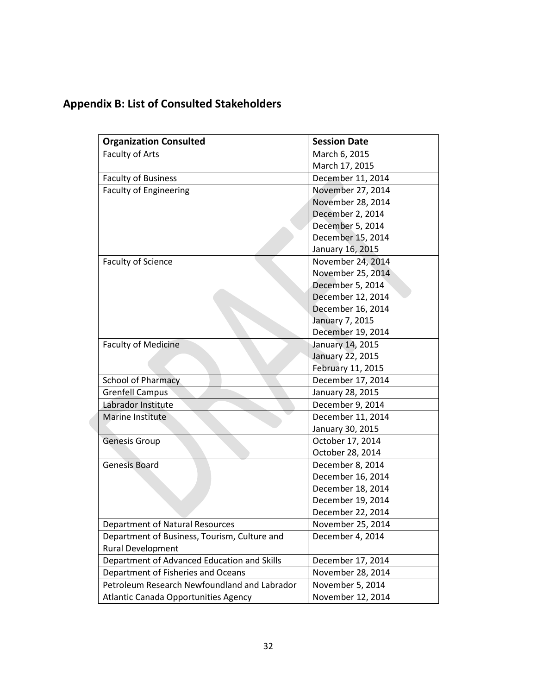# <span id="page-34-0"></span>**Appendix B: List of Consulted Stakeholders**

| <b>Organization Consulted</b>                | <b>Session Date</b> |
|----------------------------------------------|---------------------|
| Faculty of Arts                              | March 6, 2015       |
|                                              | March 17, 2015      |
| <b>Faculty of Business</b>                   | December 11, 2014   |
| <b>Faculty of Engineering</b>                | November 27, 2014   |
|                                              | November 28, 2014   |
|                                              | December 2, 2014    |
|                                              | December 5, 2014    |
|                                              | December 15, 2014   |
|                                              | January 16, 2015    |
| <b>Faculty of Science</b>                    | November 24, 2014   |
|                                              | November 25, 2014   |
|                                              | December 5, 2014    |
|                                              | December 12, 2014   |
|                                              | December 16, 2014   |
|                                              | January 7, 2015     |
|                                              | December 19, 2014   |
| <b>Faculty of Medicine</b>                   | January 14, 2015    |
|                                              | January 22, 2015    |
|                                              | February 11, 2015   |
| <b>School of Pharmacy</b>                    | December 17, 2014   |
| <b>Grenfell Campus</b>                       | January 28, 2015    |
| Labrador Institute                           | December 9, 2014    |
| <b>Marine Institute</b>                      | December 11, 2014   |
|                                              | January 30, 2015    |
| <b>Genesis Group</b>                         | October 17, 2014    |
|                                              | October 28, 2014    |
| <b>Genesis Board</b>                         | December 8, 2014    |
|                                              | December 16, 2014   |
|                                              | December 18, 2014   |
|                                              | December 19, 2014   |
|                                              | December 22, 2014   |
| <b>Department of Natural Resources</b>       | November 25, 2014   |
| Department of Business, Tourism, Culture and | December 4, 2014    |
| Rural Development                            |                     |
| Department of Advanced Education and Skills  | December 17, 2014   |
| Department of Fisheries and Oceans           | November 28, 2014   |
| Petroleum Research Newfoundland and Labrador | November 5, 2014    |
| Atlantic Canada Opportunities Agency         | November 12, 2014   |